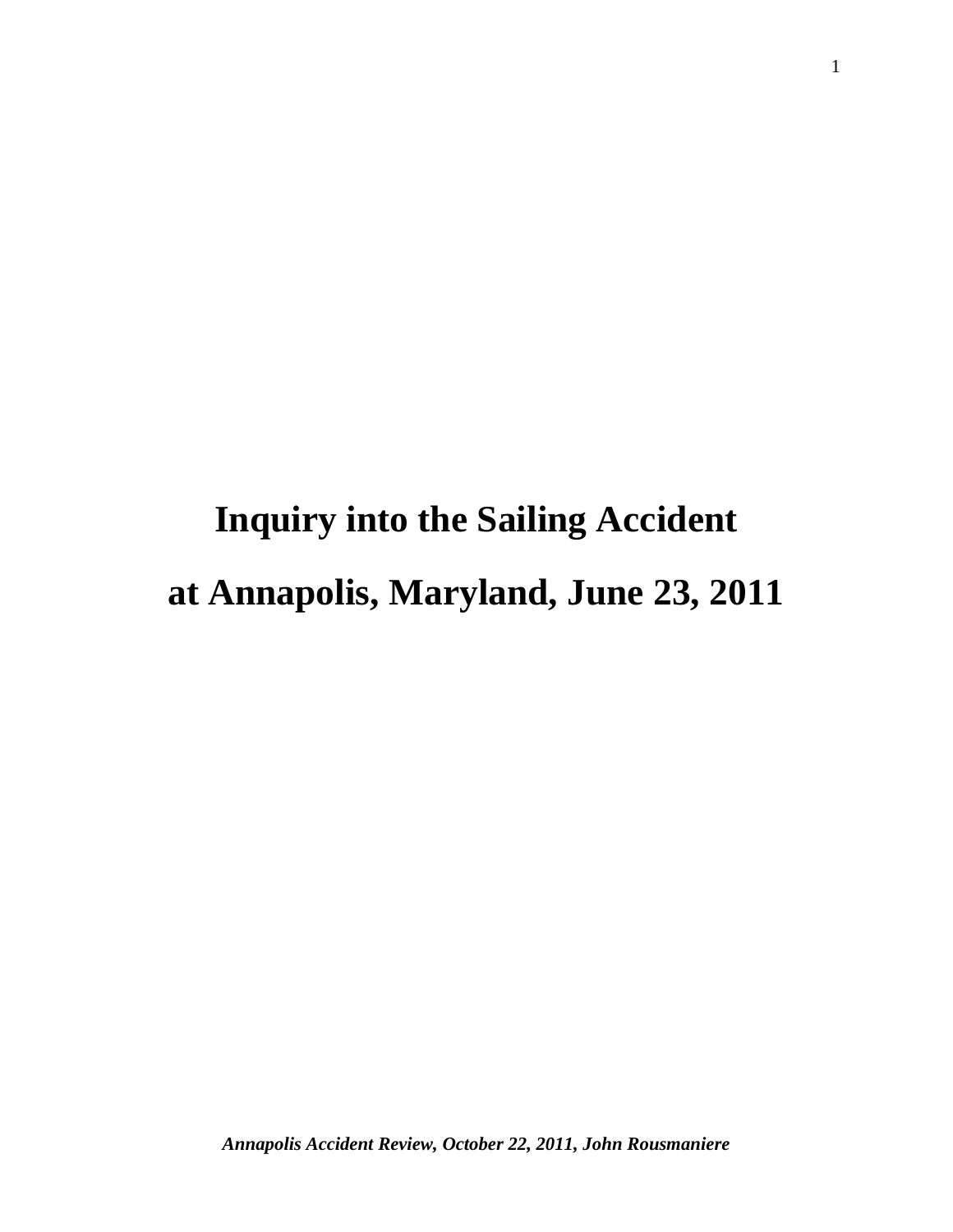# **Inquiry into the Sailing Accident at Annapolis, Maryland, June 23, 2011**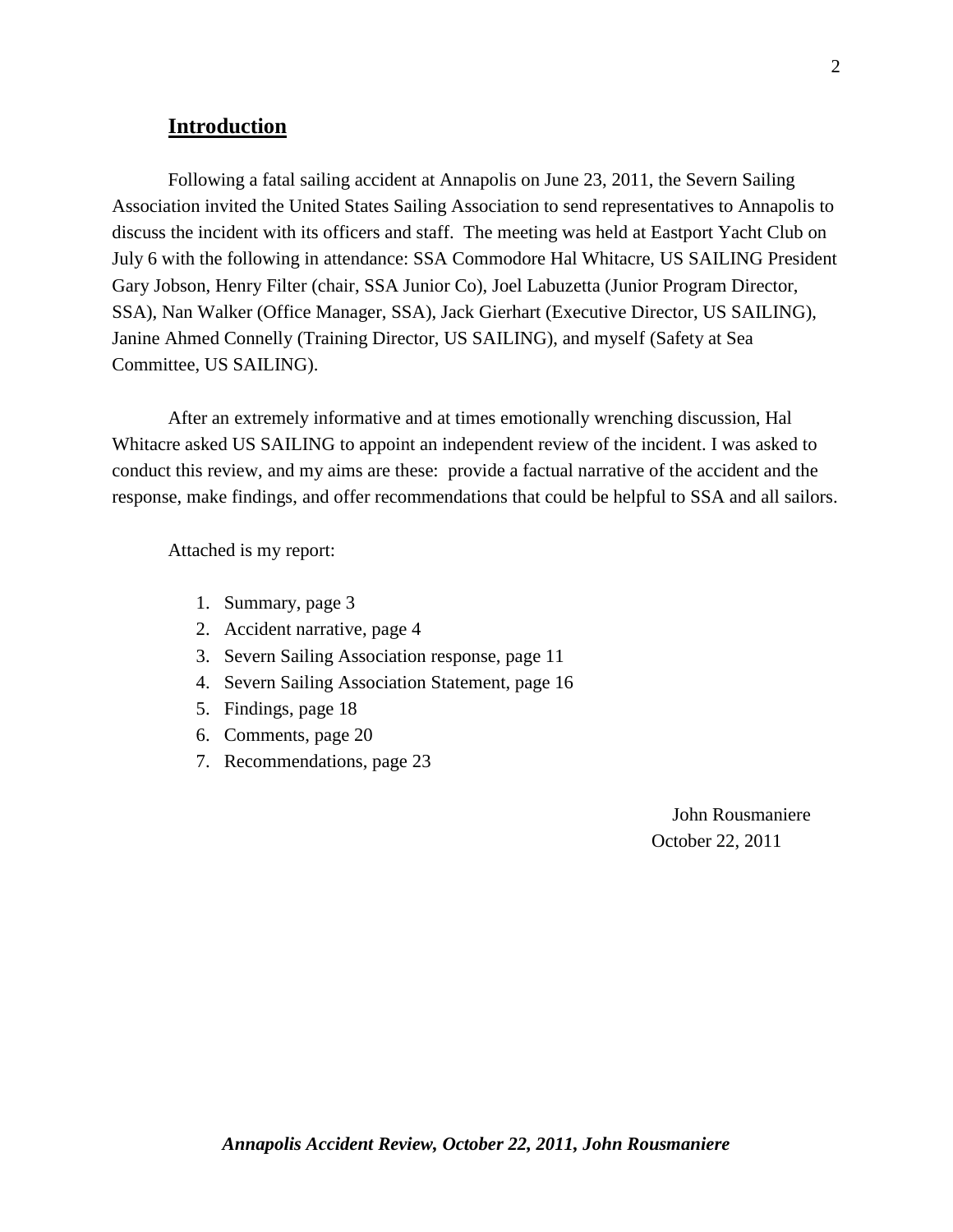## **Introduction**

Following a fatal sailing accident at Annapolis on June 23, 2011, the Severn Sailing Association invited the United States Sailing Association to send representatives to Annapolis to discuss the incident with its officers and staff. The meeting was held at Eastport Yacht Club on July 6 with the following in attendance: SSA Commodore Hal Whitacre, US SAILING President Gary Jobson, Henry Filter (chair, SSA Junior Co), Joel Labuzetta (Junior Program Director, SSA), Nan Walker (Office Manager, SSA), Jack Gierhart (Executive Director, US SAILING), Janine Ahmed Connelly (Training Director, US SAILING), and myself (Safety at Sea Committee, US SAILING).

After an extremely informative and at times emotionally wrenching discussion, Hal Whitacre asked US SAILING to appoint an independent review of the incident. I was asked to conduct this review, and my aims are these: provide a factual narrative of the accident and the response, make findings, and offer recommendations that could be helpful to SSA and all sailors.

Attached is my report:

- 1. Summary, page 3
- 2. Accident narrative, page 4
- 3. Severn Sailing Association response, page 11
- 4. Severn Sailing Association Statement, page 16
- 5. Findings, page 18
- 6. Comments, page 20
- 7. Recommendations, page 23

John Rousmaniere October 22, 2011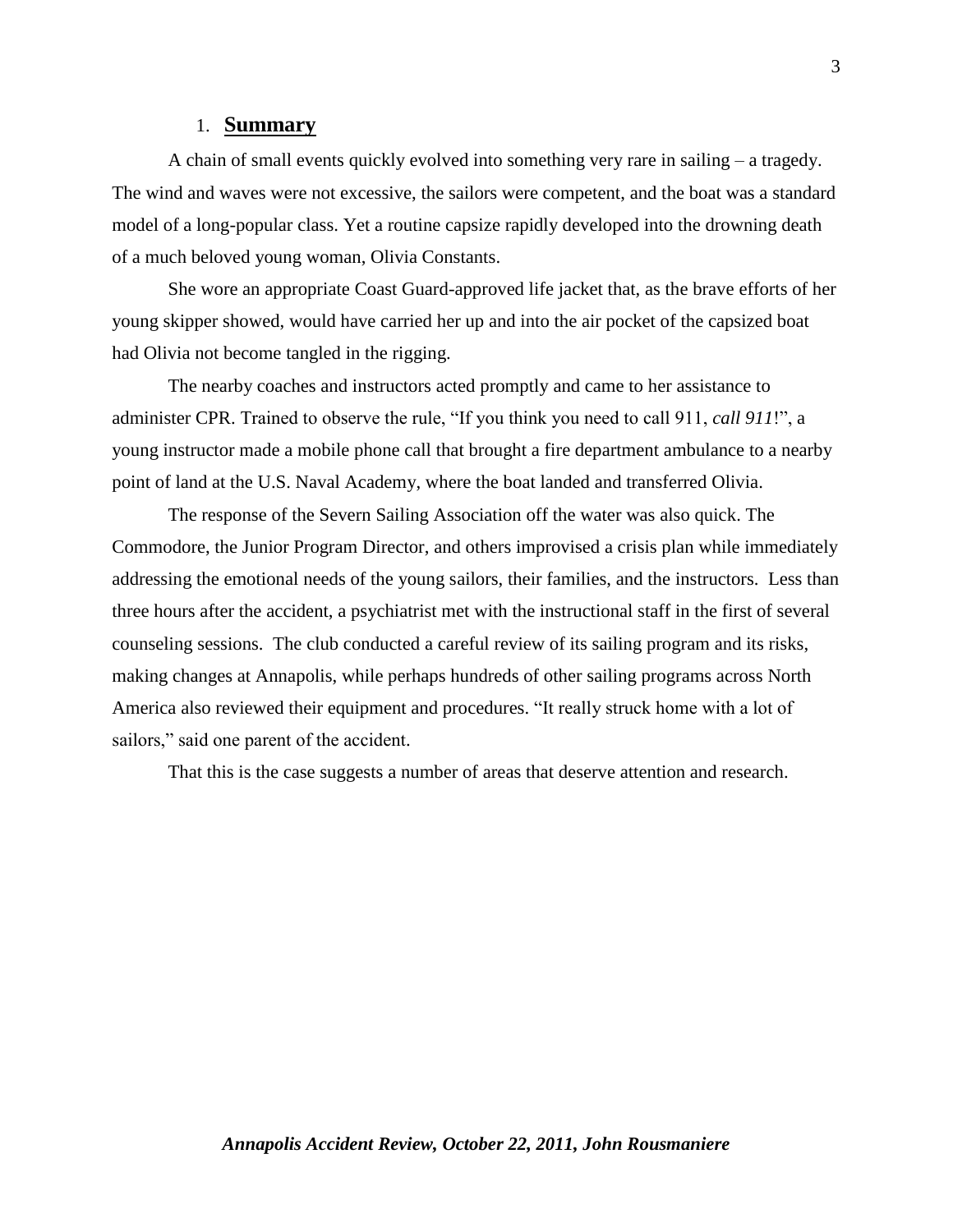#### 1. **Summary**

A chain of small events quickly evolved into something very rare in sailing – a tragedy. The wind and waves were not excessive, the sailors were competent, and the boat was a standard model of a long-popular class. Yet a routine capsize rapidly developed into the drowning death of a much beloved young woman, Olivia Constants.

She wore an appropriate Coast Guard-approved life jacket that, as the brave efforts of her young skipper showed, would have carried her up and into the air pocket of the capsized boat had Olivia not become tangled in the rigging.

The nearby coaches and instructors acted promptly and came to her assistance to administer CPR. Trained to observe the rule, "If you think you need to call 911, *call 911*!", a young instructor made a mobile phone call that brought a fire department ambulance to a nearby point of land at the U.S. Naval Academy, where the boat landed and transferred Olivia.

The response of the Severn Sailing Association off the water was also quick. The Commodore, the Junior Program Director, and others improvised a crisis plan while immediately addressing the emotional needs of the young sailors, their families, and the instructors. Less than three hours after the accident, a psychiatrist met with the instructional staff in the first of several counseling sessions. The club conducted a careful review of its sailing program and its risks, making changes at Annapolis, while perhaps hundreds of other sailing programs across North America also reviewed their equipment and procedures. "It really struck home with a lot of sailors," said one parent of the accident.

That this is the case suggests a number of areas that deserve attention and research.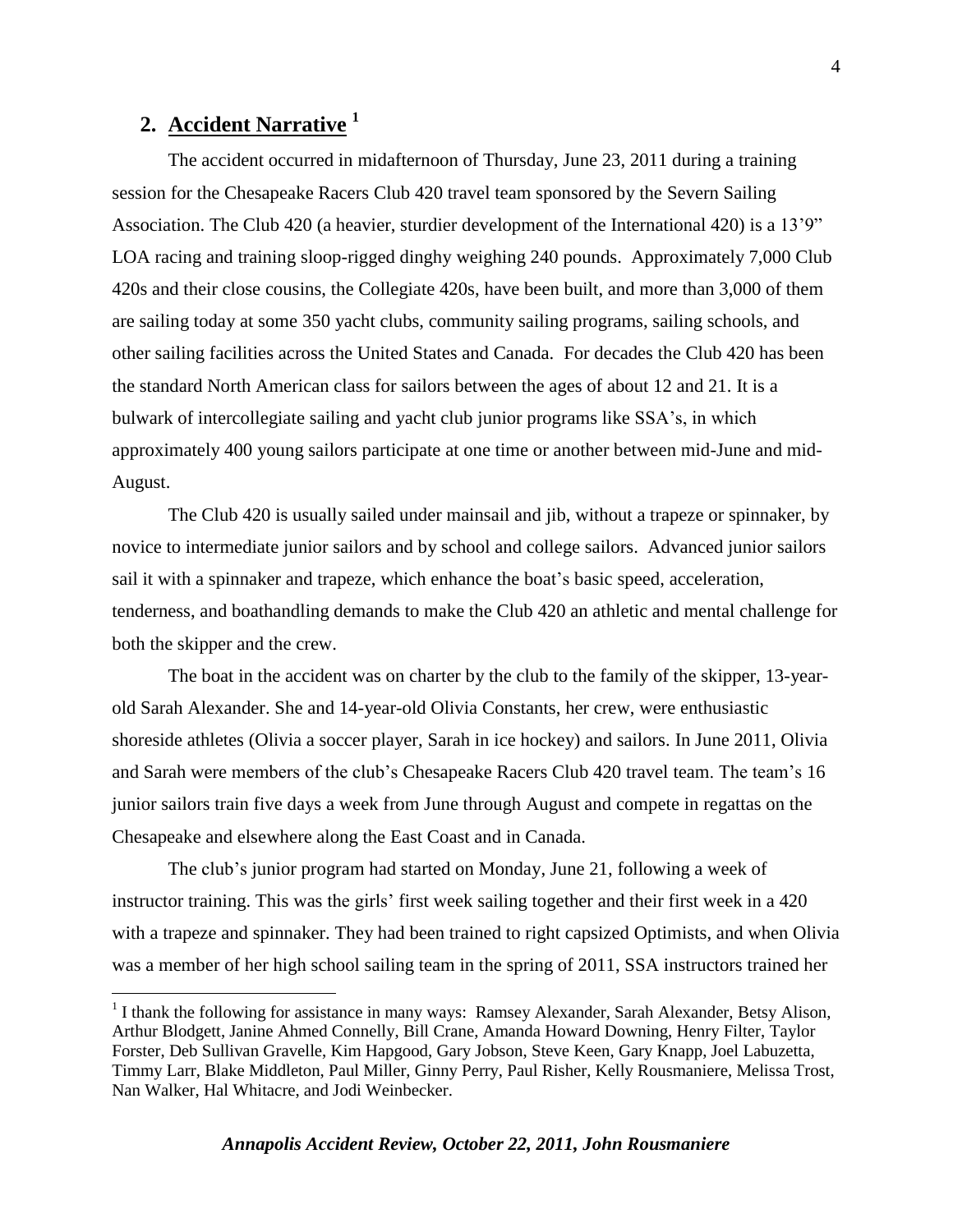# **2. Accident Narrative <sup>1</sup>**

 $\overline{a}$ 

The accident occurred in midafternoon of Thursday, June 23, 2011 during a training session for the Chesapeake Racers Club 420 travel team sponsored by the Severn Sailing Association. The Club 420 (a heavier, sturdier development of the International 420) is a 13'9" LOA racing and training sloop-rigged dinghy weighing 240 pounds. Approximately 7,000 Club 420s and their close cousins, the Collegiate 420s, have been built, and more than 3,000 of them are sailing today at some 350 yacht clubs, community sailing programs, sailing schools, and other sailing facilities across the United States and Canada. For decades the Club 420 has been the standard North American class for sailors between the ages of about 12 and 21. It is a bulwark of intercollegiate sailing and yacht club junior programs like SSA's, in which approximately 400 young sailors participate at one time or another between mid-June and mid-August.

The Club 420 is usually sailed under mainsail and jib, without a trapeze or spinnaker, by novice to intermediate junior sailors and by school and college sailors. Advanced junior sailors sail it with a spinnaker and trapeze, which enhance the boat's basic speed, acceleration, tenderness, and boathandling demands to make the Club 420 an athletic and mental challenge for both the skipper and the crew.

The boat in the accident was on charter by the club to the family of the skipper, 13-yearold Sarah Alexander. She and 14-year-old Olivia Constants, her crew, were enthusiastic shoreside athletes (Olivia a soccer player, Sarah in ice hockey) and sailors. In June 2011, Olivia and Sarah were members of the club's Chesapeake Racers Club 420 travel team. The team's 16 junior sailors train five days a week from June through August and compete in regattas on the Chesapeake and elsewhere along the East Coast and in Canada.

The club's junior program had started on Monday, June 21, following a week of instructor training. This was the girls' first week sailing together and their first week in a 420 with a trapeze and spinnaker. They had been trained to right capsized Optimists, and when Olivia was a member of her high school sailing team in the spring of 2011, SSA instructors trained her

<sup>&</sup>lt;sup>1</sup> I thank the following for assistance in many ways: Ramsey Alexander, Sarah Alexander, Betsy Alison, Arthur Blodgett, Janine Ahmed Connelly, Bill Crane, Amanda Howard Downing, Henry Filter, Taylor Forster, Deb Sullivan Gravelle, Kim Hapgood, Gary Jobson, Steve Keen, Gary Knapp, Joel Labuzetta, Timmy Larr, Blake Middleton, Paul Miller, Ginny Perry, Paul Risher, Kelly Rousmaniere, Melissa Trost, Nan Walker, Hal Whitacre, and Jodi Weinbecker.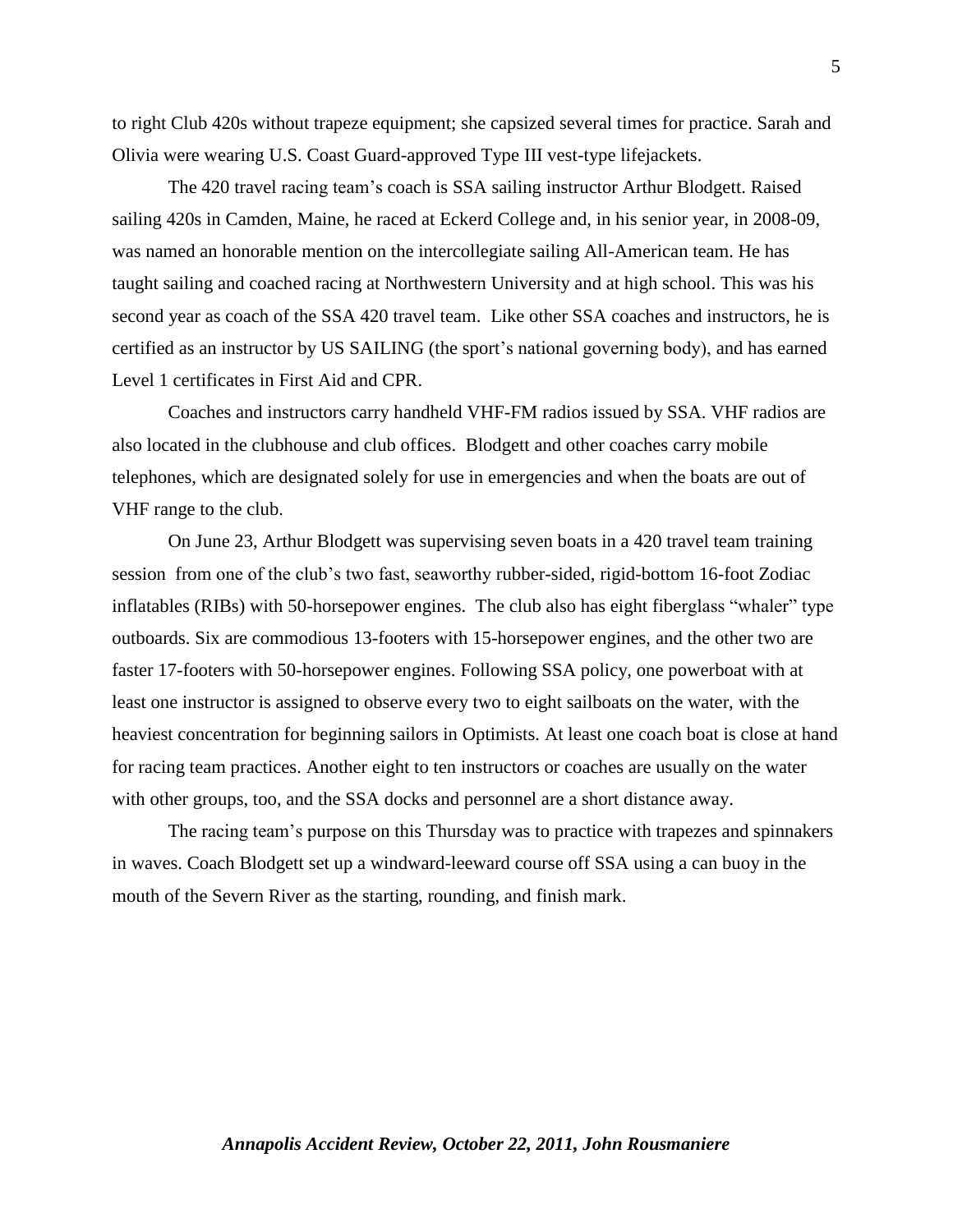to right Club 420s without trapeze equipment; she capsized several times for practice. Sarah and Olivia were wearing U.S. Coast Guard-approved Type III vest-type lifejackets.

The 420 travel racing team's coach is SSA sailing instructor Arthur Blodgett. Raised sailing 420s in Camden, Maine, he raced at Eckerd College and, in his senior year, in 2008-09, was named an honorable mention on the intercollegiate sailing All-American team. He has taught sailing and coached racing at Northwestern University and at high school. This was his second year as coach of the SSA 420 travel team. Like other SSA coaches and instructors, he is certified as an instructor by US SAILING (the sport's national governing body), and has earned Level 1 certificates in First Aid and CPR.

Coaches and instructors carry handheld VHF-FM radios issued by SSA. VHF radios are also located in the clubhouse and club offices. Blodgett and other coaches carry mobile telephones, which are designated solely for use in emergencies and when the boats are out of VHF range to the club.

On June 23, Arthur Blodgett was supervising seven boats in a 420 travel team training session from one of the club's two fast, seaworthy rubber-sided, rigid-bottom 16-foot Zodiac inflatables (RIBs) with 50-horsepower engines. The club also has eight fiberglass "whaler" type outboards. Six are commodious 13-footers with 15-horsepower engines, and the other two are faster 17-footers with 50-horsepower engines. Following SSA policy, one powerboat with at least one instructor is assigned to observe every two to eight sailboats on the water, with the heaviest concentration for beginning sailors in Optimists. At least one coach boat is close at hand for racing team practices. Another eight to ten instructors or coaches are usually on the water with other groups, too, and the SSA docks and personnel are a short distance away.

The racing team's purpose on this Thursday was to practice with trapezes and spinnakers in waves. Coach Blodgett set up a windward-leeward course off SSA using a can buoy in the mouth of the Severn River as the starting, rounding, and finish mark.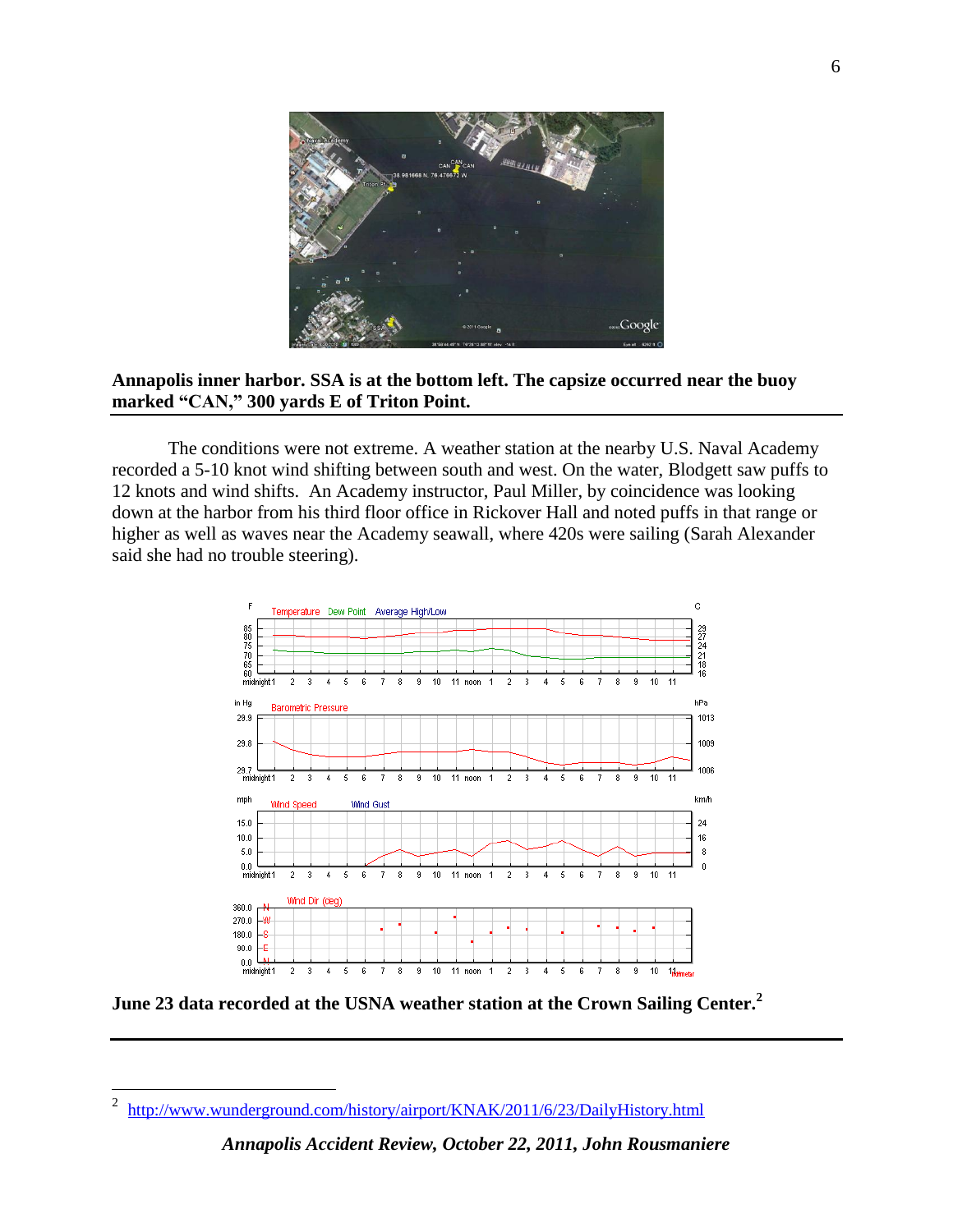

## **Annapolis inner harbor. SSA is at the bottom left. The capsize occurred near the buoy marked "CAN," 300 yards E of Triton Point.**

The conditions were not extreme. A weather station at the nearby U.S. Naval Academy recorded a 5-10 knot wind shifting between south and west. On the water, Blodgett saw puffs to 12 knots and wind shifts. An Academy instructor, Paul Miller, by coincidence was looking down at the harbor from his third floor office in Rickover Hall and noted puffs in that range or higher as well as waves near the Academy seawall, where 420s were sailing (Sarah Alexander said she had no trouble steering).



**June 23 data recorded at the USNA weather station at the Crown Sailing Center. 2**

 $\frac{1}{2}$ <http://www.wunderground.com/history/airport/KNAK/2011/6/23/DailyHistory.html>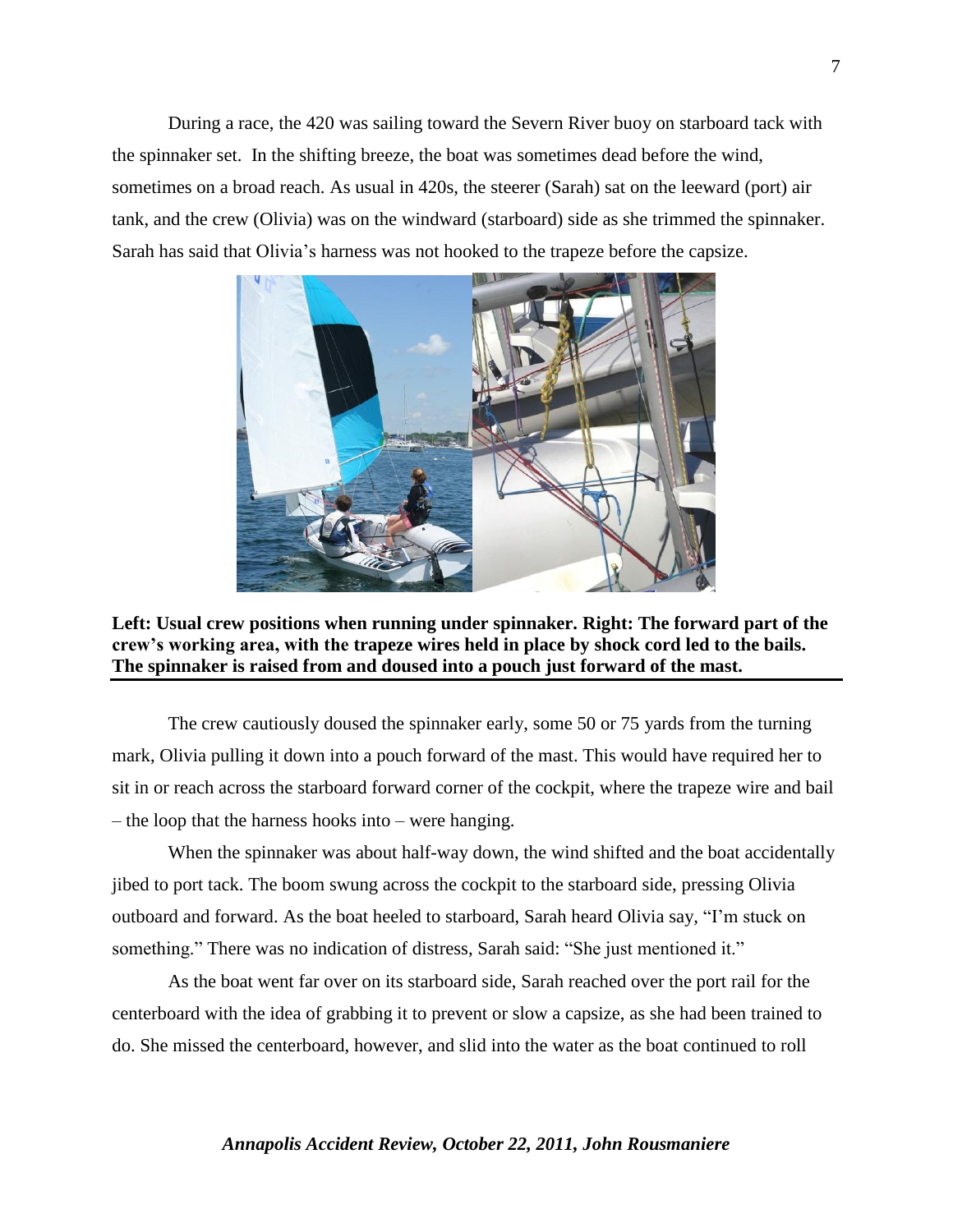During a race, the 420 was sailing toward the Severn River buoy on starboard tack with the spinnaker set. In the shifting breeze, the boat was sometimes dead before the wind, sometimes on a broad reach. As usual in 420s, the steerer (Sarah) sat on the leeward (port) air tank, and the crew (Olivia) was on the windward (starboard) side as she trimmed the spinnaker. Sarah has said that Olivia's harness was not hooked to the trapeze before the capsize.





The crew cautiously doused the spinnaker early, some 50 or 75 yards from the turning mark, Olivia pulling it down into a pouch forward of the mast. This would have required her to sit in or reach across the starboard forward corner of the cockpit, where the trapeze wire and bail – the loop that the harness hooks into – were hanging.

When the spinnaker was about half-way down, the wind shifted and the boat accidentally jibed to port tack. The boom swung across the cockpit to the starboard side, pressing Olivia outboard and forward. As the boat heeled to starboard, Sarah heard Olivia say, "I'm stuck on something." There was no indication of distress, Sarah said: "She just mentioned it."

As the boat went far over on its starboard side, Sarah reached over the port rail for the centerboard with the idea of grabbing it to prevent or slow a capsize, as she had been trained to do. She missed the centerboard, however, and slid into the water as the boat continued to roll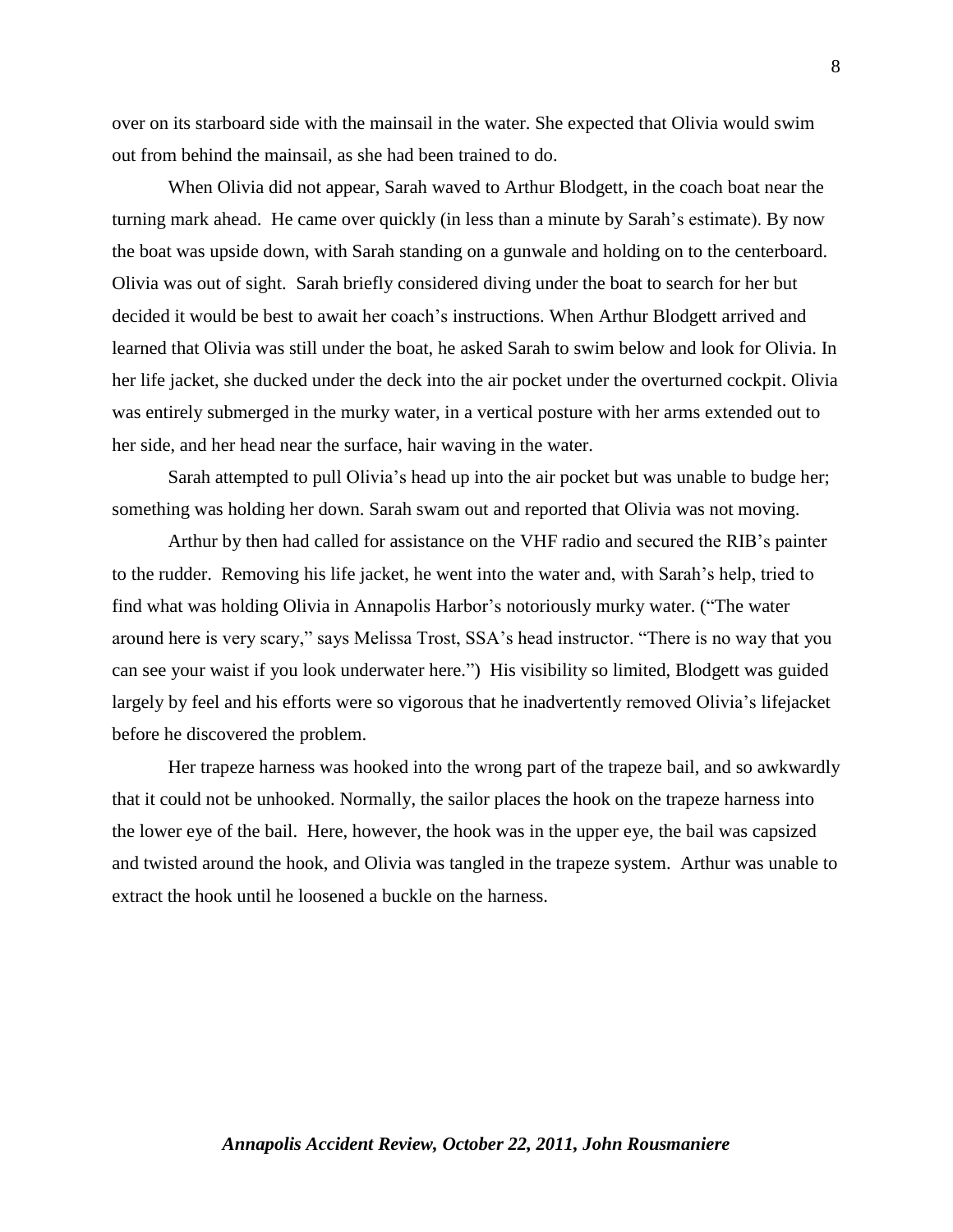over on its starboard side with the mainsail in the water. She expected that Olivia would swim out from behind the mainsail, as she had been trained to do.

When Olivia did not appear, Sarah waved to Arthur Blodgett, in the coach boat near the turning mark ahead. He came over quickly (in less than a minute by Sarah's estimate). By now the boat was upside down, with Sarah standing on a gunwale and holding on to the centerboard. Olivia was out of sight. Sarah briefly considered diving under the boat to search for her but decided it would be best to await her coach's instructions. When Arthur Blodgett arrived and learned that Olivia was still under the boat, he asked Sarah to swim below and look for Olivia. In her life jacket, she ducked under the deck into the air pocket under the overturned cockpit. Olivia was entirely submerged in the murky water, in a vertical posture with her arms extended out to her side, and her head near the surface, hair waving in the water.

Sarah attempted to pull Olivia's head up into the air pocket but was unable to budge her; something was holding her down. Sarah swam out and reported that Olivia was not moving.

Arthur by then had called for assistance on the VHF radio and secured the RIB's painter to the rudder. Removing his life jacket, he went into the water and, with Sarah's help, tried to find what was holding Olivia in Annapolis Harbor's notoriously murky water. ("The water around here is very scary," says Melissa Trost, SSA's head instructor. "There is no way that you can see your waist if you look underwater here.") His visibility so limited, Blodgett was guided largely by feel and his efforts were so vigorous that he inadvertently removed Olivia's lifejacket before he discovered the problem.

Her trapeze harness was hooked into the wrong part of the trapeze bail, and so awkwardly that it could not be unhooked. Normally, the sailor places the hook on the trapeze harness into the lower eye of the bail. Here, however, the hook was in the upper eye, the bail was capsized and twisted around the hook, and Olivia was tangled in the trapeze system. Arthur was unable to extract the hook until he loosened a buckle on the harness.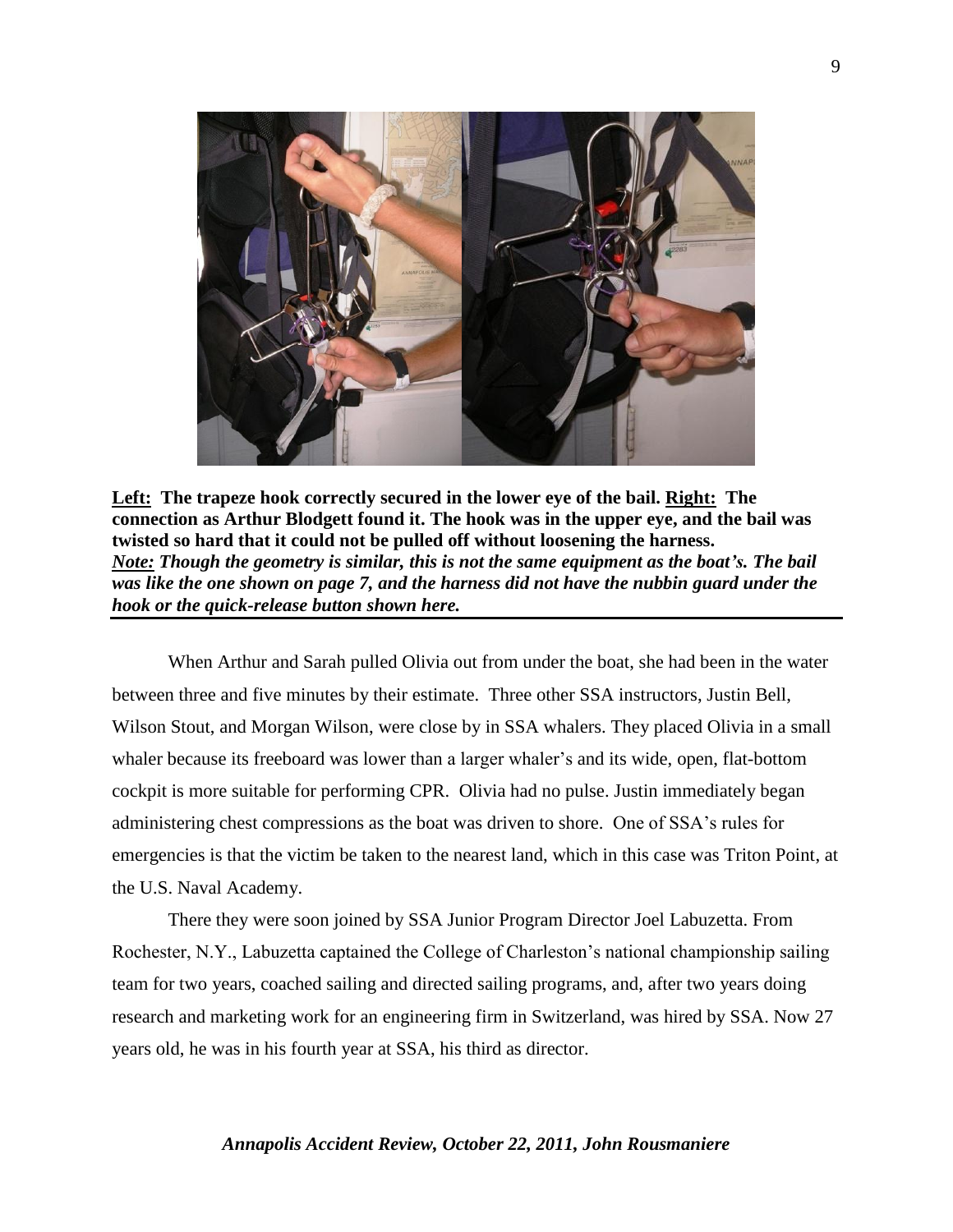

**Left: The trapeze hook correctly secured in the lower eye of the bail. Right: The connection as Arthur Blodgett found it. The hook was in the upper eye, and the bail was twisted so hard that it could not be pulled off without loosening the harness.** *Note: Though the geometry is similar, this is not the same equipment as the boat's. The bail was like the one shown on page 7, and the harness did not have the nubbin guard under the hook or the quick-release button shown here.* 

When Arthur and Sarah pulled Olivia out from under the boat, she had been in the water between three and five minutes by their estimate. Three other SSA instructors, Justin Bell, Wilson Stout, and Morgan Wilson, were close by in SSA whalers. They placed Olivia in a small whaler because its freeboard was lower than a larger whaler's and its wide, open, flat-bottom cockpit is more suitable for performing CPR. Olivia had no pulse. Justin immediately began administering chest compressions as the boat was driven to shore. One of SSA's rules for emergencies is that the victim be taken to the nearest land, which in this case was Triton Point, at the U.S. Naval Academy.

There they were soon joined by SSA Junior Program Director Joel Labuzetta. From Rochester, N.Y., Labuzetta captained the College of Charleston's national championship sailing team for two years, coached sailing and directed sailing programs, and, after two years doing research and marketing work for an engineering firm in Switzerland, was hired by SSA. Now 27 years old, he was in his fourth year at SSA, his third as director.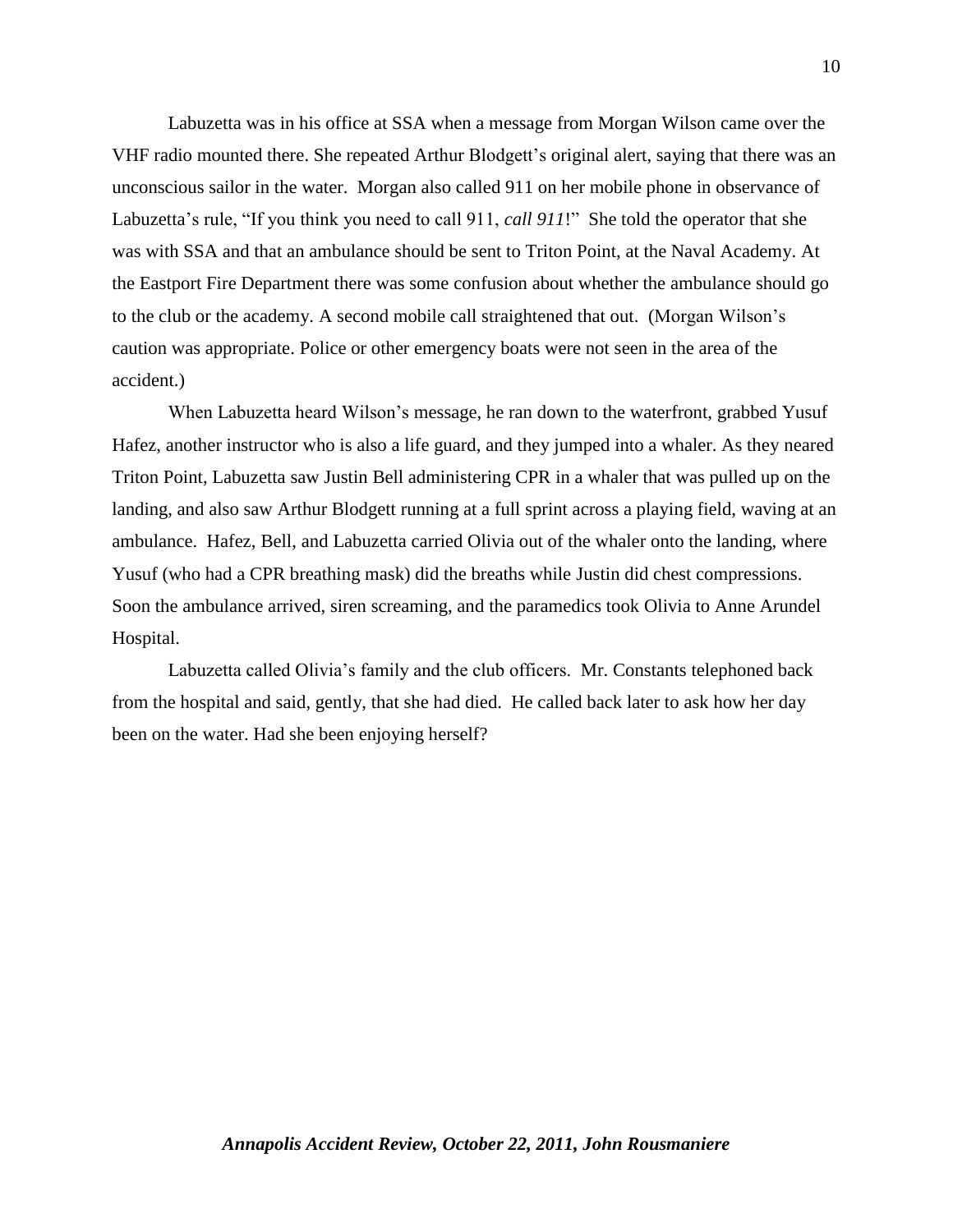Labuzetta was in his office at SSA when a message from Morgan Wilson came over the VHF radio mounted there. She repeated Arthur Blodgett's original alert, saying that there was an unconscious sailor in the water. Morgan also called 911 on her mobile phone in observance of Labuzetta's rule, "If you think you need to call 911, *call 911*!" She told the operator that she was with SSA and that an ambulance should be sent to Triton Point, at the Naval Academy. At the Eastport Fire Department there was some confusion about whether the ambulance should go to the club or the academy. A second mobile call straightened that out. (Morgan Wilson's caution was appropriate. Police or other emergency boats were not seen in the area of the accident.)

When Labuzetta heard Wilson's message, he ran down to the waterfront, grabbed Yusuf Hafez, another instructor who is also a life guard, and they jumped into a whaler. As they neared Triton Point, Labuzetta saw Justin Bell administering CPR in a whaler that was pulled up on the landing, and also saw Arthur Blodgett running at a full sprint across a playing field, waving at an ambulance. Hafez, Bell, and Labuzetta carried Olivia out of the whaler onto the landing, where Yusuf (who had a CPR breathing mask) did the breaths while Justin did chest compressions. Soon the ambulance arrived, siren screaming, and the paramedics took Olivia to Anne Arundel Hospital.

Labuzetta called Olivia's family and the club officers. Mr. Constants telephoned back from the hospital and said, gently, that she had died. He called back later to ask how her day been on the water. Had she been enjoying herself?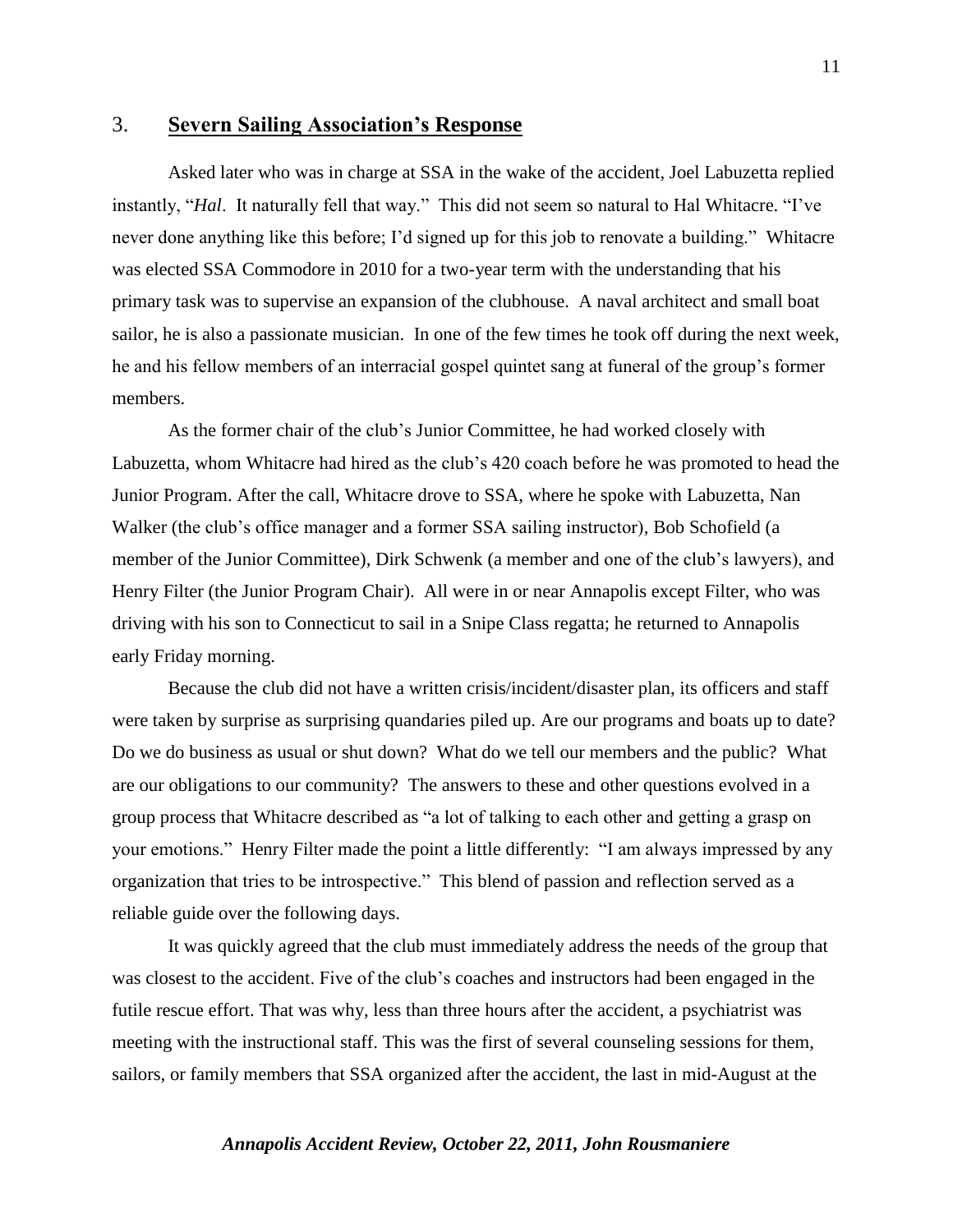#### 3. **Severn Sailing Association's Response**

Asked later who was in charge at SSA in the wake of the accident, Joel Labuzetta replied instantly, "*Hal*. It naturally fell that way." This did not seem so natural to Hal Whitacre. "I've never done anything like this before; I'd signed up for this job to renovate a building." Whitacre was elected SSA Commodore in 2010 for a two-year term with the understanding that his primary task was to supervise an expansion of the clubhouse. A naval architect and small boat sailor, he is also a passionate musician. In one of the few times he took off during the next week, he and his fellow members of an interracial gospel quintet sang at funeral of the group's former members.

As the former chair of the club's Junior Committee, he had worked closely with Labuzetta, whom Whitacre had hired as the club's 420 coach before he was promoted to head the Junior Program. After the call, Whitacre drove to SSA, where he spoke with Labuzetta, Nan Walker (the club's office manager and a former SSA sailing instructor), Bob Schofield (a member of the Junior Committee), Dirk Schwenk (a member and one of the club's lawyers), and Henry Filter (the Junior Program Chair). All were in or near Annapolis except Filter, who was driving with his son to Connecticut to sail in a Snipe Class regatta; he returned to Annapolis early Friday morning.

Because the club did not have a written crisis/incident/disaster plan, its officers and staff were taken by surprise as surprising quandaries piled up. Are our programs and boats up to date? Do we do business as usual or shut down? What do we tell our members and the public? What are our obligations to our community? The answers to these and other questions evolved in a group process that Whitacre described as "a lot of talking to each other and getting a grasp on your emotions." Henry Filter made the point a little differently: "I am always impressed by any organization that tries to be introspective." This blend of passion and reflection served as a reliable guide over the following days.

It was quickly agreed that the club must immediately address the needs of the group that was closest to the accident. Five of the club's coaches and instructors had been engaged in the futile rescue effort. That was why, less than three hours after the accident, a psychiatrist was meeting with the instructional staff. This was the first of several counseling sessions for them, sailors, or family members that SSA organized after the accident, the last in mid-August at the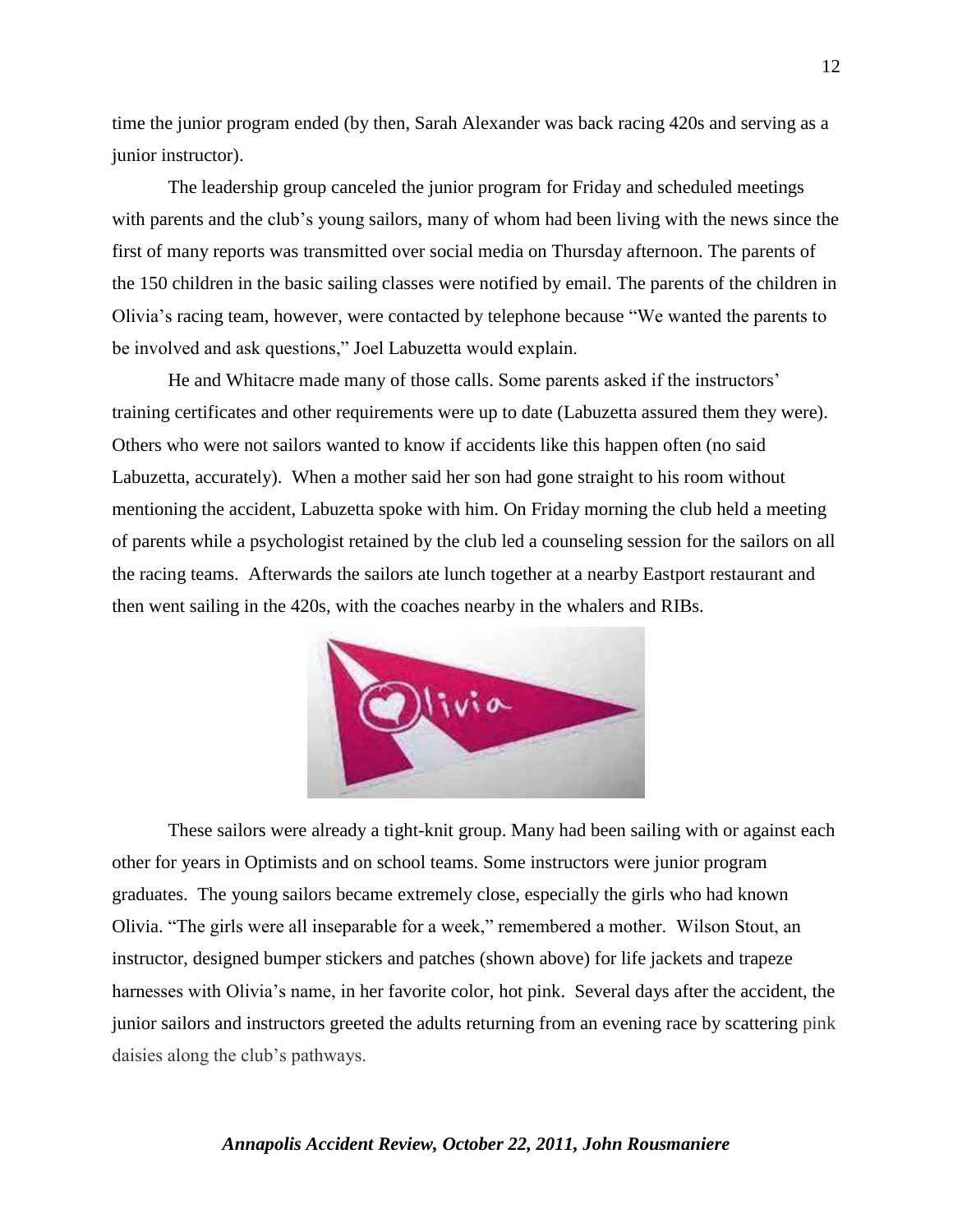time the junior program ended (by then, Sarah Alexander was back racing 420s and serving as a junior instructor).

The leadership group canceled the junior program for Friday and scheduled meetings with parents and the club's young sailors, many of whom had been living with the news since the first of many reports was transmitted over social media on Thursday afternoon. The parents of the 150 children in the basic sailing classes were notified by email. The parents of the children in Olivia's racing team, however, were contacted by telephone because "We wanted the parents to be involved and ask questions," Joel Labuzetta would explain.

He and Whitacre made many of those calls. Some parents asked if the instructors' training certificates and other requirements were up to date (Labuzetta assured them they were). Others who were not sailors wanted to know if accidents like this happen often (no said Labuzetta, accurately). When a mother said her son had gone straight to his room without mentioning the accident, Labuzetta spoke with him. On Friday morning the club held a meeting of parents while a psychologist retained by the club led a counseling session for the sailors on all the racing teams. Afterwards the sailors ate lunch together at a nearby Eastport restaurant and then went sailing in the 420s, with the coaches nearby in the whalers and RIBs.



These sailors were already a tight-knit group. Many had been sailing with or against each other for years in Optimists and on school teams. Some instructors were junior program graduates. The young sailors became extremely close, especially the girls who had known Olivia. "The girls were all inseparable for a week," remembered a mother. Wilson Stout, an instructor, designed bumper stickers and patches (shown above) for life jackets and trapeze harnesses with Olivia's name, in her favorite color, hot pink. Several days after the accident, the junior sailors and instructors greeted the adults returning from an evening race by scattering pink daisies along the club's pathways.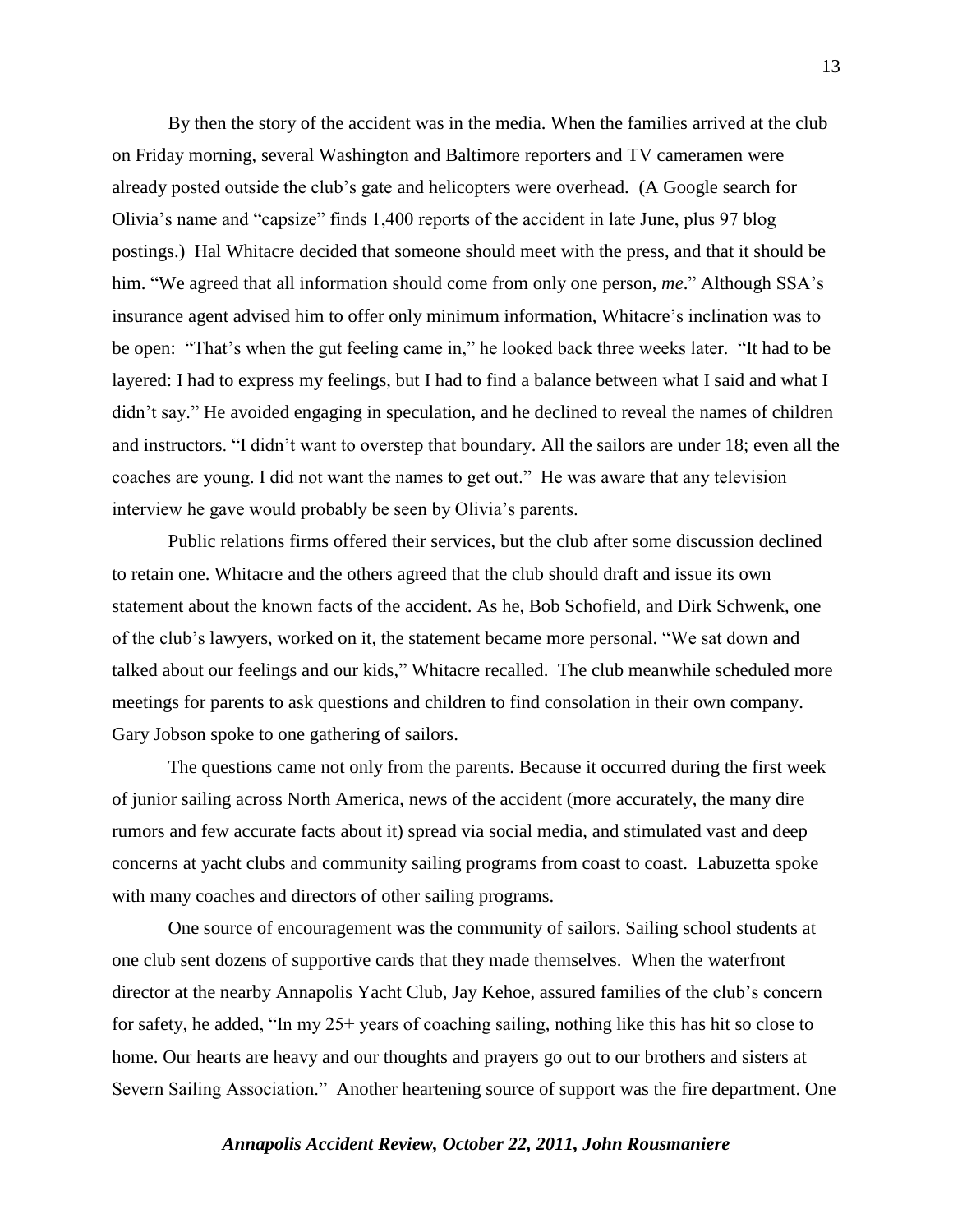By then the story of the accident was in the media. When the families arrived at the club on Friday morning, several Washington and Baltimore reporters and TV cameramen were already posted outside the club's gate and helicopters were overhead. (A Google search for Olivia's name and "capsize" finds 1,400 reports of the accident in late June, plus 97 blog postings.) Hal Whitacre decided that someone should meet with the press, and that it should be him. "We agreed that all information should come from only one person, *me*." Although SSA's insurance agent advised him to offer only minimum information, Whitacre's inclination was to be open: "That's when the gut feeling came in," he looked back three weeks later. "It had to be layered: I had to express my feelings, but I had to find a balance between what I said and what I didn't say." He avoided engaging in speculation, and he declined to reveal the names of children and instructors. "I didn't want to overstep that boundary. All the sailors are under 18; even all the coaches are young. I did not want the names to get out." He was aware that any television interview he gave would probably be seen by Olivia's parents.

Public relations firms offered their services, but the club after some discussion declined to retain one. Whitacre and the others agreed that the club should draft and issue its own statement about the known facts of the accident. As he, Bob Schofield, and Dirk Schwenk, one of the club's lawyers, worked on it, the statement became more personal. "We sat down and talked about our feelings and our kids," Whitacre recalled. The club meanwhile scheduled more meetings for parents to ask questions and children to find consolation in their own company. Gary Jobson spoke to one gathering of sailors.

The questions came not only from the parents. Because it occurred during the first week of junior sailing across North America, news of the accident (more accurately, the many dire rumors and few accurate facts about it) spread via social media, and stimulated vast and deep concerns at yacht clubs and community sailing programs from coast to coast. Labuzetta spoke with many coaches and directors of other sailing programs.

One source of encouragement was the community of sailors. Sailing school students at one club sent dozens of supportive cards that they made themselves. When the waterfront director at the nearby Annapolis Yacht Club, Jay Kehoe, assured families of the club's concern for safety, he added, "In my 25+ years of coaching sailing, nothing like this has hit so close to home. Our hearts are heavy and our thoughts and prayers go out to our brothers and sisters at Severn Sailing Association." Another heartening source of support was the fire department. One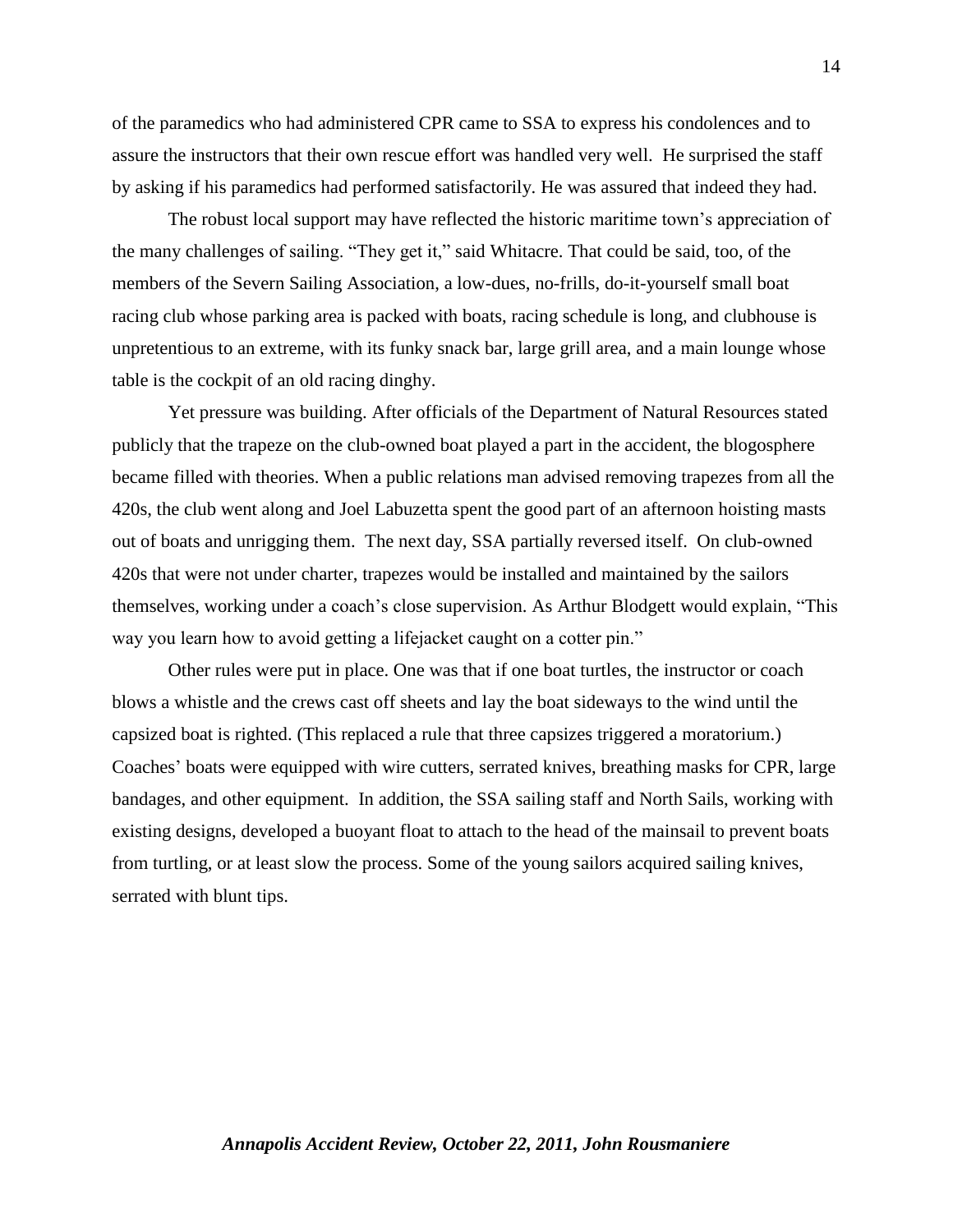of the paramedics who had administered CPR came to SSA to express his condolences and to assure the instructors that their own rescue effort was handled very well. He surprised the staff by asking if his paramedics had performed satisfactorily. He was assured that indeed they had.

The robust local support may have reflected the historic maritime town's appreciation of the many challenges of sailing. "They get it," said Whitacre. That could be said, too, of the members of the Severn Sailing Association, a low-dues, no-frills, do-it-yourself small boat racing club whose parking area is packed with boats, racing schedule is long, and clubhouse is unpretentious to an extreme, with its funky snack bar, large grill area, and a main lounge whose table is the cockpit of an old racing dinghy.

Yet pressure was building. After officials of the Department of Natural Resources stated publicly that the trapeze on the club-owned boat played a part in the accident, the blogosphere became filled with theories. When a public relations man advised removing trapezes from all the 420s, the club went along and Joel Labuzetta spent the good part of an afternoon hoisting masts out of boats and unrigging them. The next day, SSA partially reversed itself. On club-owned 420s that were not under charter, trapezes would be installed and maintained by the sailors themselves, working under a coach's close supervision. As Arthur Blodgett would explain, "This way you learn how to avoid getting a lifejacket caught on a cotter pin."

Other rules were put in place. One was that if one boat turtles, the instructor or coach blows a whistle and the crews cast off sheets and lay the boat sideways to the wind until the capsized boat is righted. (This replaced a rule that three capsizes triggered a moratorium.) Coaches' boats were equipped with wire cutters, serrated knives, breathing masks for CPR, large bandages, and other equipment. In addition, the SSA sailing staff and North Sails, working with existing designs, developed a buoyant float to attach to the head of the mainsail to prevent boats from turtling, or at least slow the process. Some of the young sailors acquired sailing knives, serrated with blunt tips.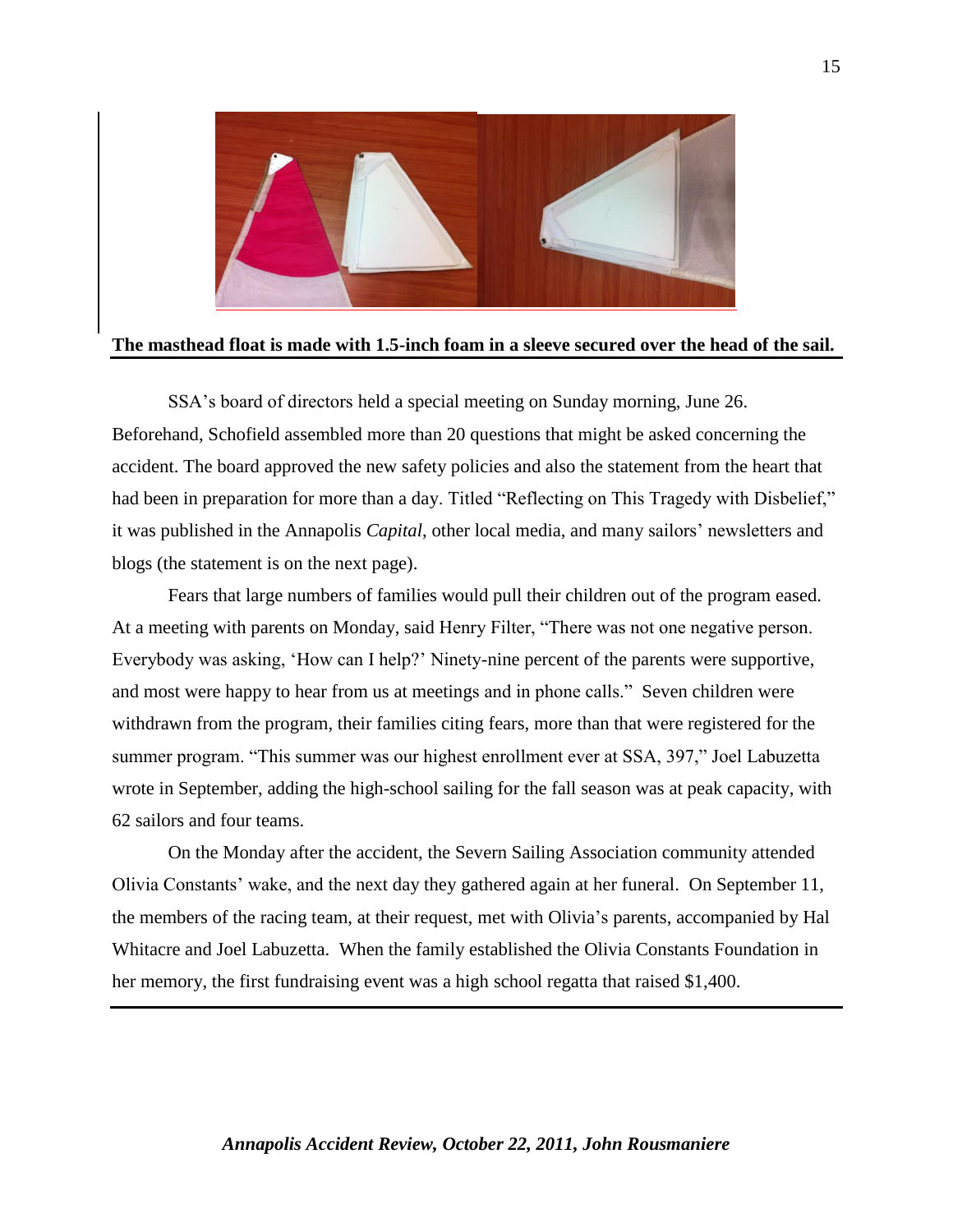

#### **The masthead float is made with 1.5-inch foam in a sleeve secured over the head of the sail.**

SSA's board of directors held a special meeting on Sunday morning, June 26. Beforehand, Schofield assembled more than 20 questions that might be asked concerning the accident. The board approved the new safety policies and also the statement from the heart that had been in preparation for more than a day. Titled "Reflecting on This Tragedy with Disbelief," it was published in the Annapolis *Capital*, other local media, and many sailors' newsletters and blogs (the statement is on the next page).

Fears that large numbers of families would pull their children out of the program eased. At a meeting with parents on Monday, said Henry Filter, "There was not one negative person. Everybody was asking, 'How can I help?' Ninety-nine percent of the parents were supportive, and most were happy to hear from us at meetings and in phone calls." Seven children were withdrawn from the program, their families citing fears, more than that were registered for the summer program. "This summer was our highest enrollment ever at SSA, 397," Joel Labuzetta wrote in September, adding the high-school sailing for the fall season was at peak capacity, with 62 sailors and four teams.

On the Monday after the accident, the Severn Sailing Association community attended Olivia Constants' wake, and the next day they gathered again at her funeral. On September 11, the members of the racing team, at their request, met with Olivia's parents, accompanied by Hal Whitacre and Joel Labuzetta. When the family established the Olivia Constants Foundation in her memory, the first fundraising event was a high school regatta that raised \$1,400.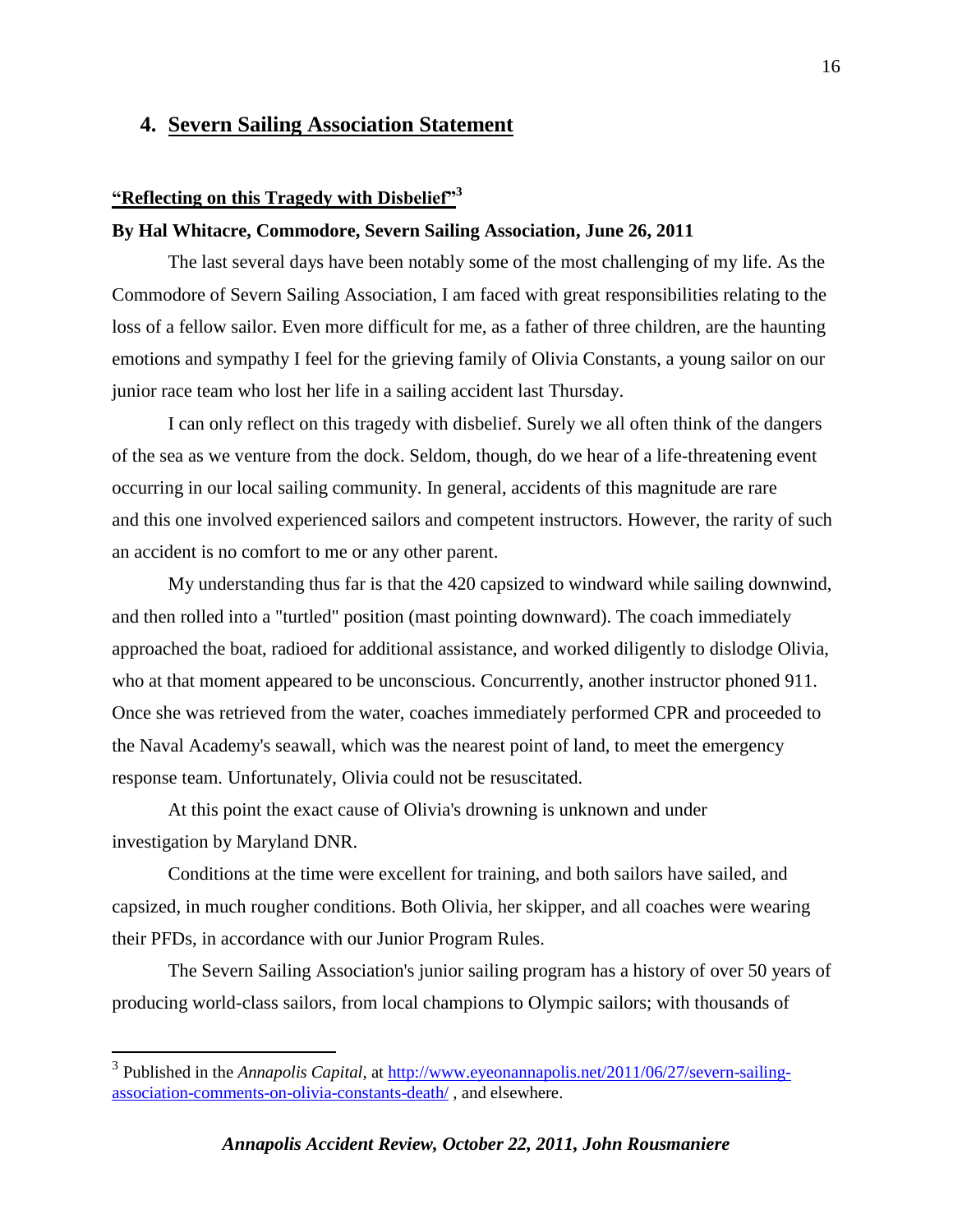## **4. Severn Sailing Association Statement**

#### **"Reflecting on this Tragedy with Disbelief"<sup>3</sup>**

#### **By Hal Whitacre, Commodore, Severn Sailing Association, June 26, 2011**

The last several days have been notably some of the most challenging of my life. As the Commodore of Severn Sailing Association, I am faced with great responsibilities relating to the loss of a fellow sailor. Even more difficult for me, as a father of three children, are the haunting emotions and sympathy I feel for the grieving family of Olivia Constants, a young sailor on our junior race team who lost her life in a sailing accident last Thursday.

I can only reflect on this tragedy with disbelief. Surely we all often think of the dangers of the sea as we venture from the dock. Seldom, though, do we hear of a life-threatening event occurring in our local sailing community. In general, accidents of this magnitude are rare and this one involved experienced sailors and competent instructors. However, the rarity of such an accident is no comfort to me or any other parent.

My understanding thus far is that the 420 capsized to windward while sailing downwind, and then rolled into a "turtled" position (mast pointing downward). The coach immediately approached the boat, radioed for additional assistance, and worked diligently to dislodge Olivia, who at that moment appeared to be unconscious. Concurrently, another instructor phoned 911. Once she was retrieved from the water, coaches immediately performed CPR and proceeded to the Naval Academy's seawall, which was the nearest point of land, to meet the emergency response team. Unfortunately, Olivia could not be resuscitated.

At this point the exact cause of Olivia's drowning is unknown and under investigation by Maryland DNR.

 $\overline{a}$ 

Conditions at the time were excellent for training, and both sailors have sailed, and capsized, in much rougher conditions. Both Olivia, her skipper, and all coaches were wearing their PFDs, in accordance with our Junior Program Rules.

The Severn Sailing Association's junior sailing program has a history of over 50 years of producing world-class sailors, from local champions to Olympic sailors; with thousands of

<sup>&</sup>lt;sup>3</sup> Published in the *Annapolis Capital*, at [http://www.eyeonannapolis.net/2011/06/27/severn-sailing](http://www.eyeonannapolis.net/2011/06/27/severn-sailing-association-comments-on-olivia-constants-death/)[association-comments-on-olivia-constants-death/](http://www.eyeonannapolis.net/2011/06/27/severn-sailing-association-comments-on-olivia-constants-death/) , and elsewhere.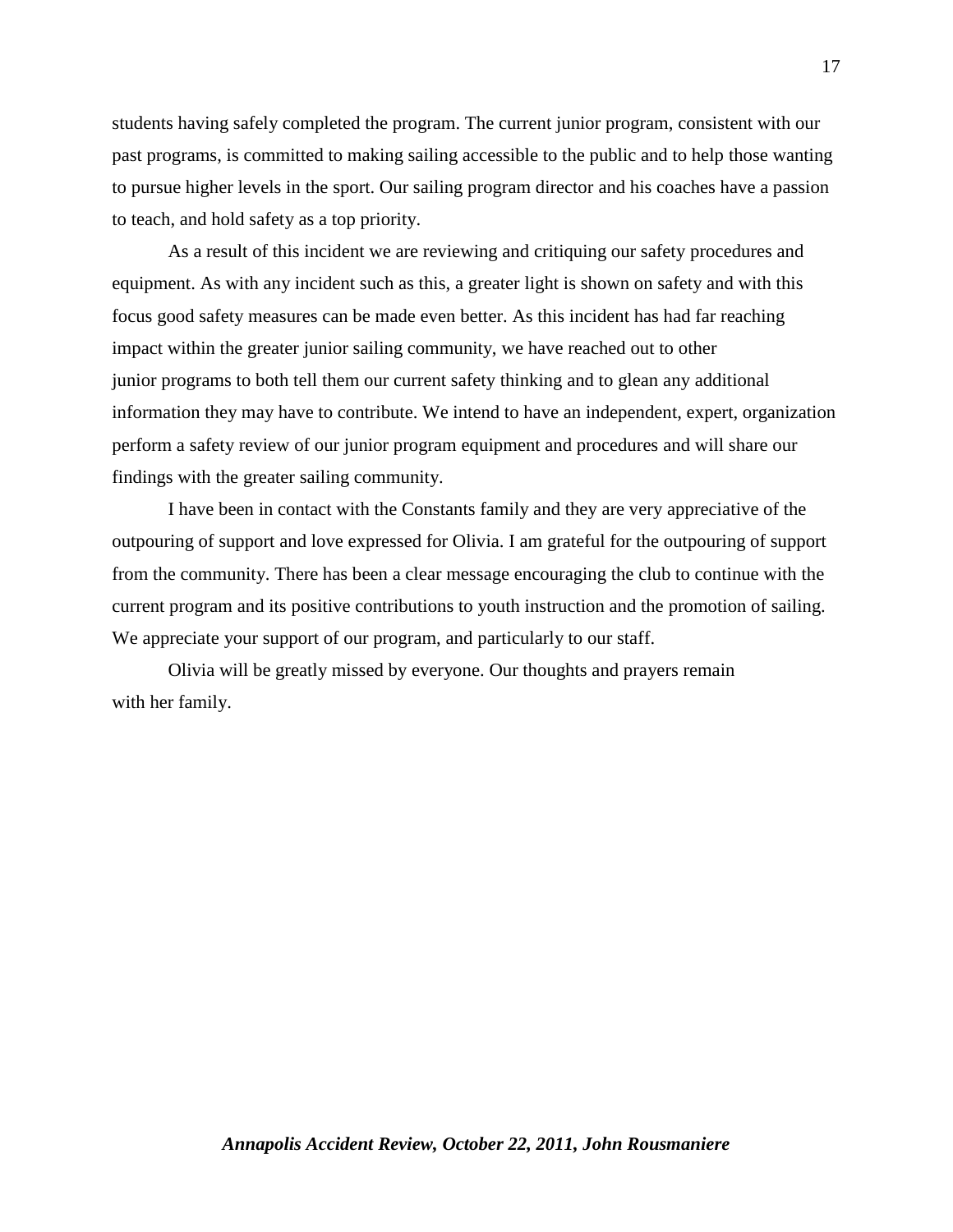students having safely completed the program. The current junior program, consistent with our past programs, is committed to making sailing accessible to the public and to help those wanting to pursue higher levels in the sport. Our sailing program director and his coaches have a passion to teach, and hold safety as a top priority.

As a result of this incident we are reviewing and critiquing our safety procedures and equipment. As with any incident such as this, a greater light is shown on safety and with this focus good safety measures can be made even better. As this incident has had far reaching impact within the greater junior sailing community, we have reached out to other junior programs to both tell them our current safety thinking and to glean any additional information they may have to contribute. We intend to have an independent, expert, organization perform a safety review of our junior program equipment and procedures and will share our findings with the greater sailing community.

I have been in contact with the Constants family and they are very appreciative of the outpouring of support and love expressed for Olivia. I am grateful for the outpouring of support from the community. There has been a clear message encouraging the club to continue with the current program and its positive contributions to youth instruction and the promotion of sailing. We appreciate your support of our program, and particularly to our staff.

Olivia will be greatly missed by everyone. Our thoughts and prayers remain with her family.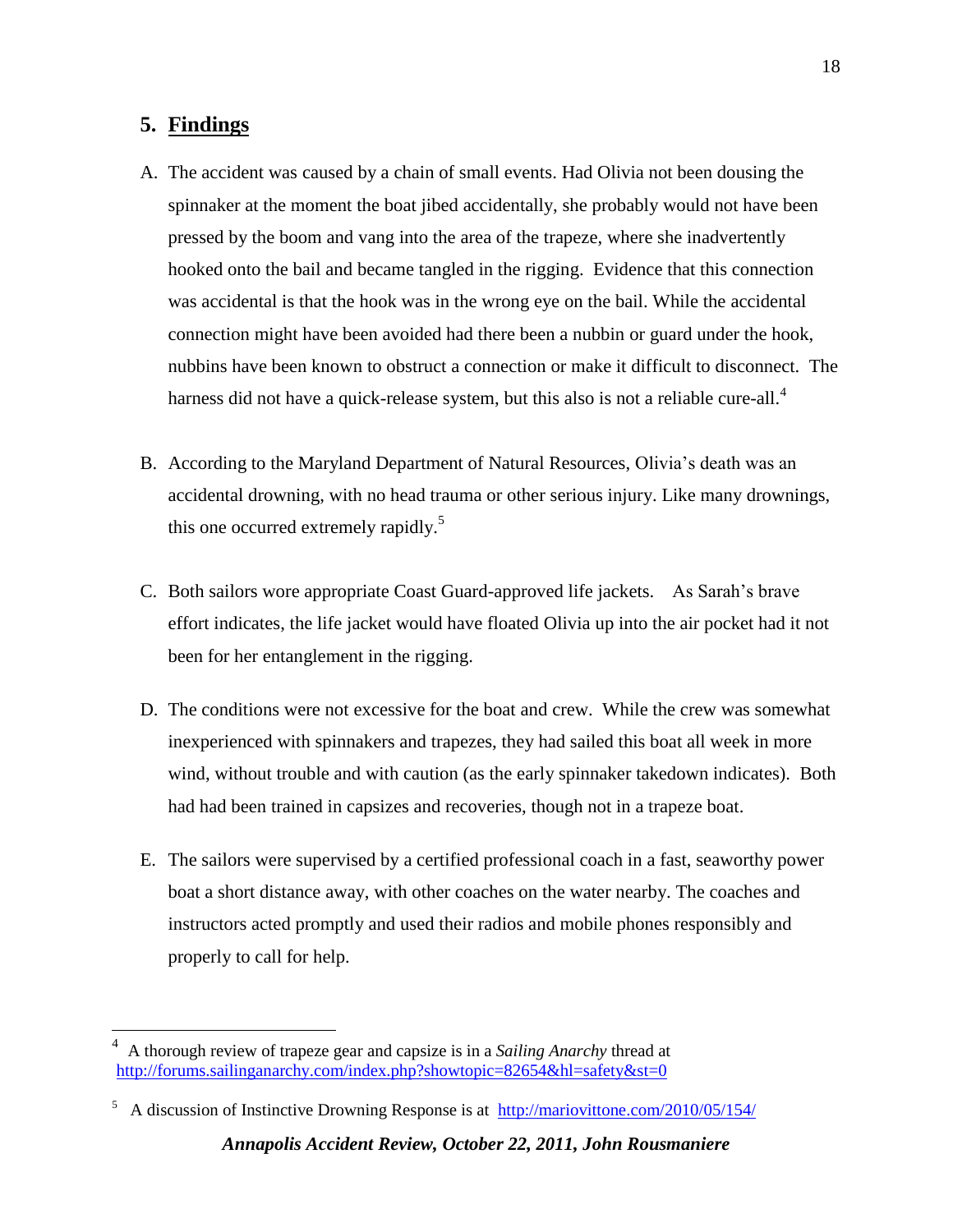# **5. Findings**

 $\overline{a}$ 

- A. The accident was caused by a chain of small events. Had Olivia not been dousing the spinnaker at the moment the boat jibed accidentally, she probably would not have been pressed by the boom and vang into the area of the trapeze, where she inadvertently hooked onto the bail and became tangled in the rigging. Evidence that this connection was accidental is that the hook was in the wrong eye on the bail. While the accidental connection might have been avoided had there been a nubbin or guard under the hook, nubbins have been known to obstruct a connection or make it difficult to disconnect. The harness did not have a quick-release system, but this also is not a reliable cure-all.<sup>4</sup>
- B. According to the Maryland Department of Natural Resources, Olivia's death was an accidental drowning, with no head trauma or other serious injury. Like many drownings, this one occurred extremely rapidly.<sup>5</sup>
- C. Both sailors wore appropriate Coast Guard-approved life jackets. As Sarah's brave effort indicates, the life jacket would have floated Olivia up into the air pocket had it not been for her entanglement in the rigging.
- D. The conditions were not excessive for the boat and crew. While the crew was somewhat inexperienced with spinnakers and trapezes, they had sailed this boat all week in more wind, without trouble and with caution (as the early spinnaker takedown indicates). Both had had been trained in capsizes and recoveries, though not in a trapeze boat.
- E. The sailors were supervised by a certified professional coach in a fast, seaworthy power boat a short distance away, with other coaches on the water nearby. The coaches and instructors acted promptly and used their radios and mobile phones responsibly and properly to call for help.

<sup>4</sup> A thorough review of trapeze gear and capsize is in a *Sailing Anarchy* thread at <http://forums.sailinganarchy.com/index.php?showtopic=82654&hl=safety&st=0>

<sup>&</sup>lt;sup>5</sup> A discussion of Instinctive Drowning Response is at <http://mariovittone.com/2010/05/154/>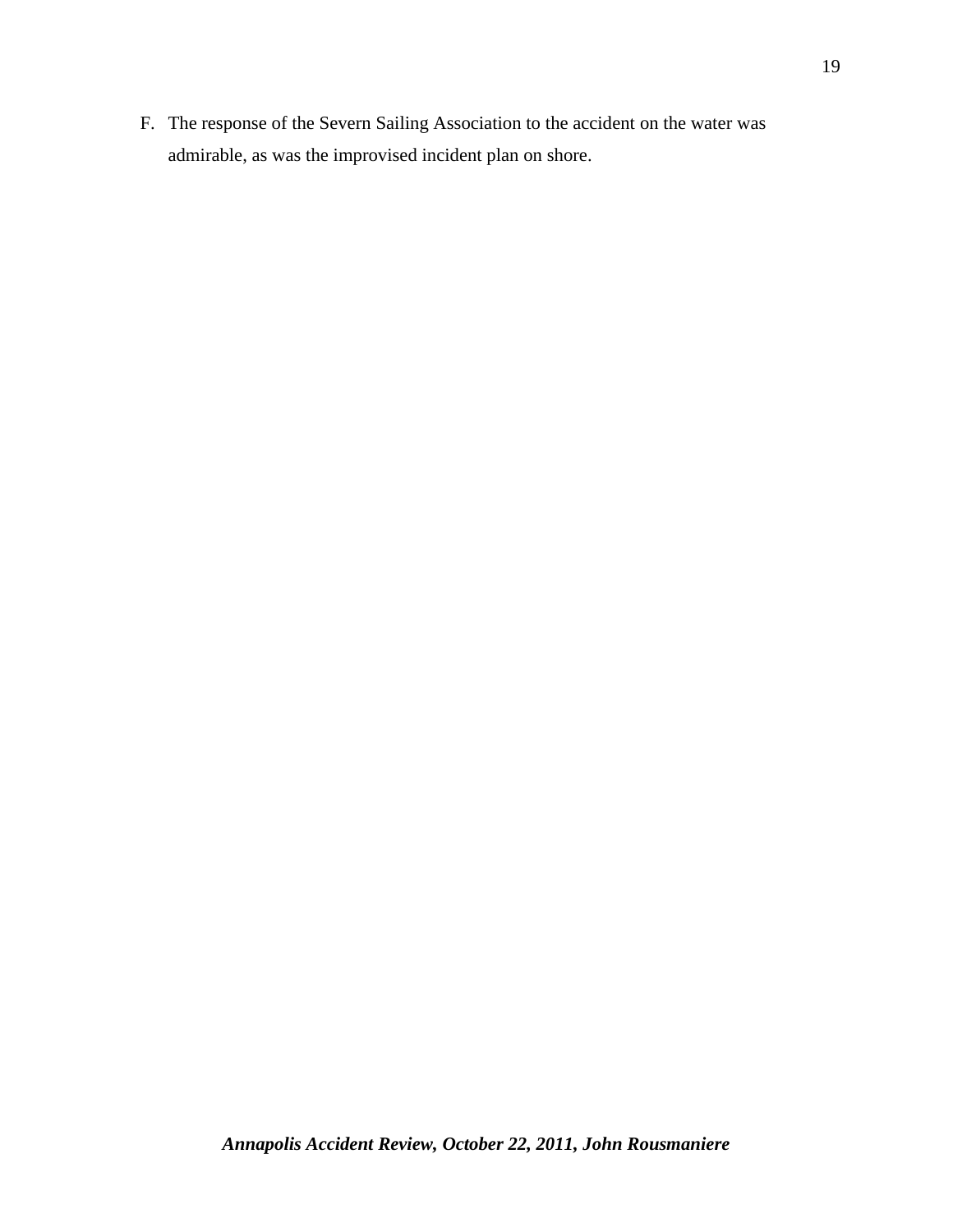F. The response of the Severn Sailing Association to the accident on the water was admirable, as was the improvised incident plan on shore.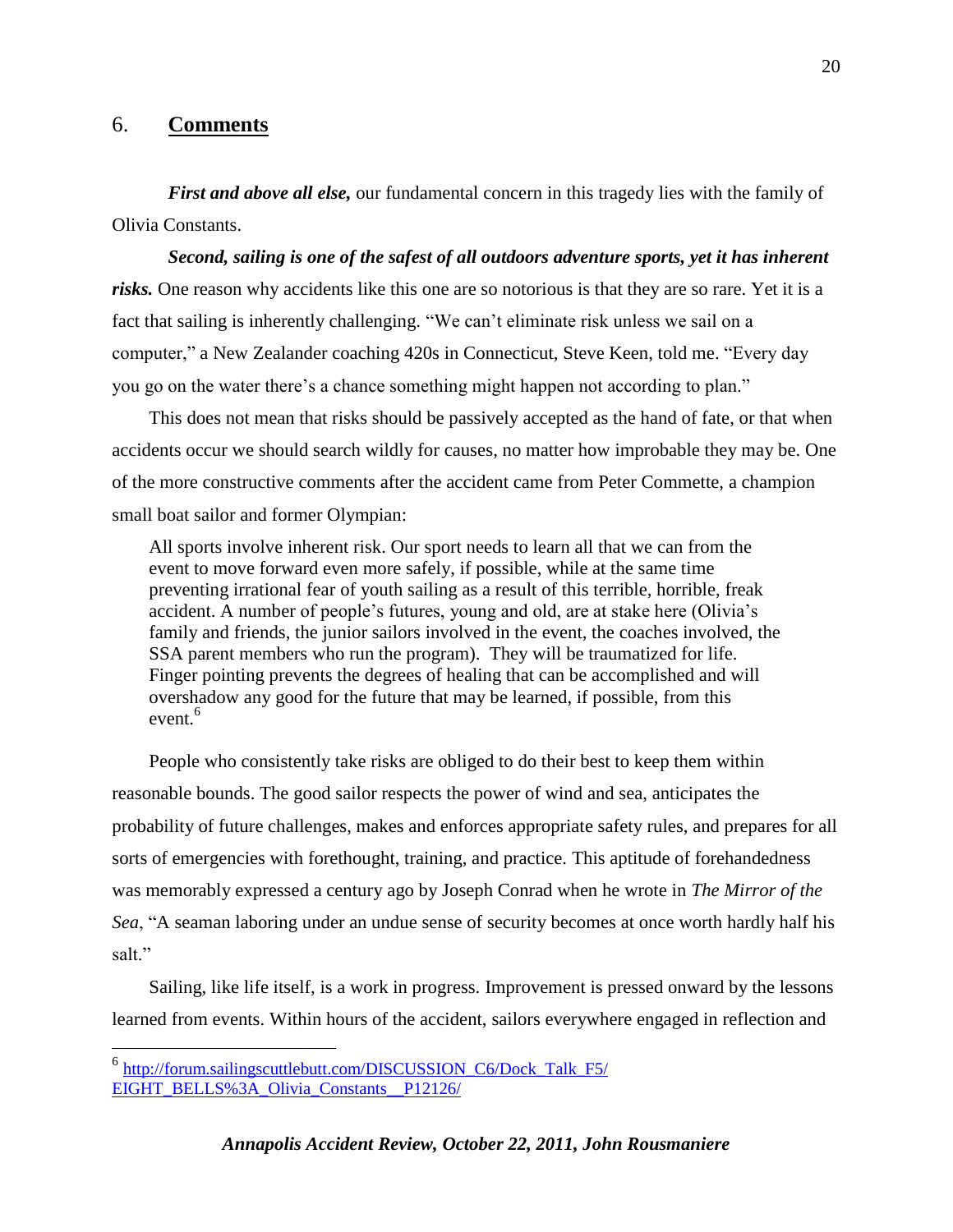### 6. **Comments**

*First and above all else,* our fundamental concern in this tragedy lies with the family of Olivia Constants.

*Second, sailing is one of the safest of all outdoors adventure sports, yet it has inherent*  risks. One reason why accidents like this one are so notorious is that they are so rare. Yet it is a fact that sailing is inherently challenging. "We can't eliminate risk unless we sail on a computer," a New Zealander coaching 420s in Connecticut, Steve Keen, told me. "Every day you go on the water there's a chance something might happen not according to plan."

This does not mean that risks should be passively accepted as the hand of fate, or that when accidents occur we should search wildly for causes, no matter how improbable they may be. One of the more constructive comments after the accident came from Peter Commette, a champion small boat sailor and former Olympian:

All sports involve inherent risk. Our sport needs to learn all that we can from the event to move forward even more safely, if possible, while at the same time preventing irrational fear of youth sailing as a result of this terrible, horrible, freak accident. A number of people's futures, young and old, are at stake here (Olivia's family and friends, the junior sailors involved in the event, the coaches involved, the SSA parent members who run the program). They will be traumatized for life. Finger pointing prevents the degrees of healing that can be accomplished and will overshadow any good for the future that may be learned, if possible, from this event.<sup>6</sup>

People who consistently take risks are obliged to do their best to keep them within reasonable bounds. The good sailor respects the power of wind and sea, anticipates the probability of future challenges, makes and enforces appropriate safety rules, and prepares for all sorts of emergencies with forethought, training, and practice. This aptitude of forehandedness was memorably expressed a century ago by Joseph Conrad when he wrote in *The Mirror of the Sea*, "A seaman laboring under an undue sense of security becomes at once worth hardly half his salt."

Sailing, like life itself, is a work in progress. Improvement is pressed onward by the lessons learned from events. Within hours of the accident, sailors everywhere engaged in reflection and

 $\overline{a}$ 

<sup>&</sup>lt;sup>6</sup> http://forum.sailingscuttlebutt.com/DISCUSSION\_C6/Dock\_Talk\_F5/ [EIGHT\\_BELLS%3A\\_Olivia\\_Constants\\_\\_P12126/](http://forum.sailingscuttlebutt.com/DISCUSSION_C6/Dock_Talk_F5/%20EIGHT_BELLS%3A_Olivia_Constants__P12126/)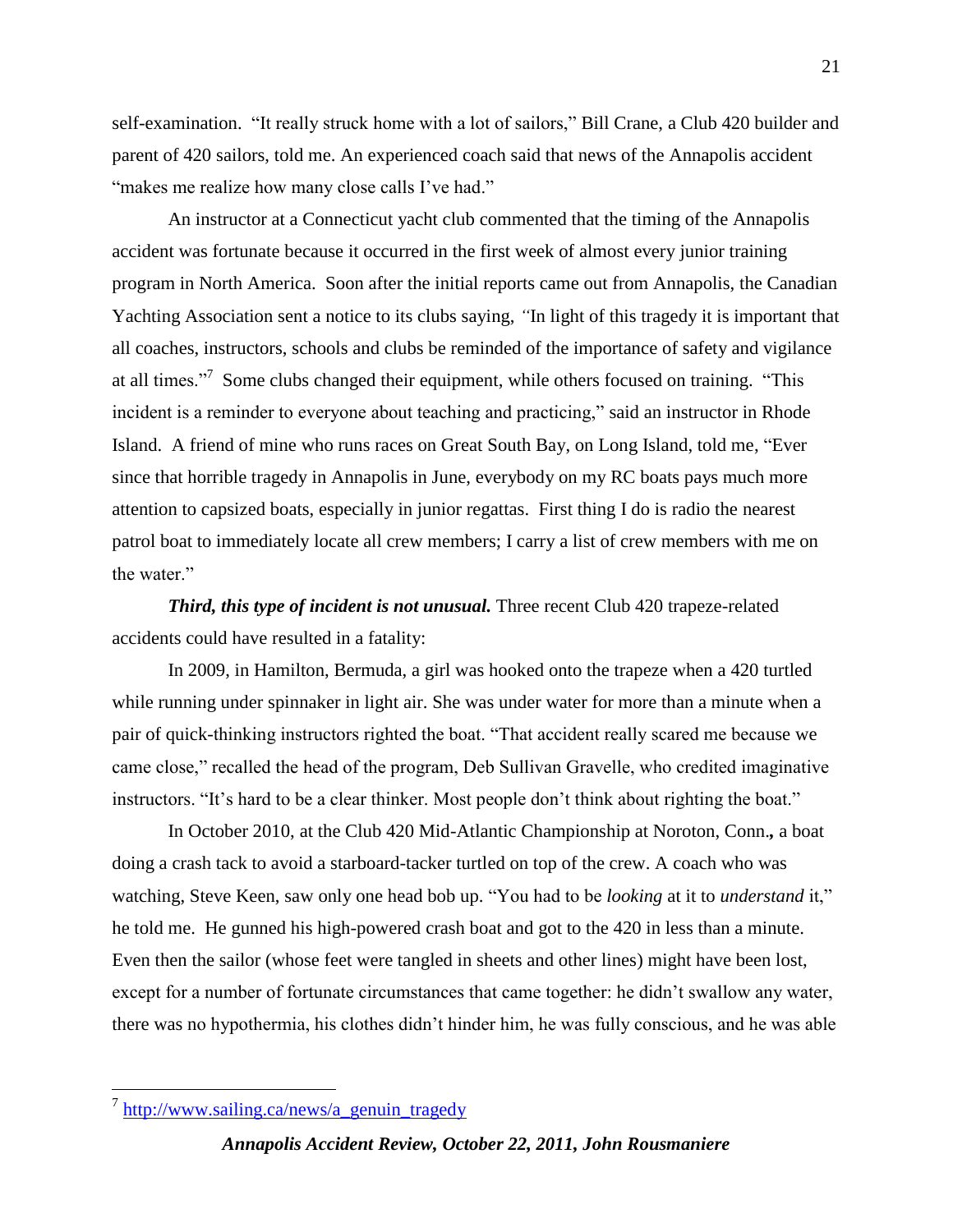self-examination. "It really struck home with a lot of sailors," Bill Crane, a Club 420 builder and parent of 420 sailors, told me. An experienced coach said that news of the Annapolis accident "makes me realize how many close calls I've had."

An instructor at a Connecticut yacht club commented that the timing of the Annapolis accident was fortunate because it occurred in the first week of almost every junior training program in North America. Soon after the initial reports came out from Annapolis, the Canadian Yachting Association sent a notice to its clubs saying, *"*In light of this tragedy it is important that all coaches, instructors, schools and clubs be reminded of the importance of safety and vigilance at all times."<sup>7</sup> Some clubs changed their equipment, while others focused on training. "This incident is a reminder to everyone about teaching and practicing," said an instructor in Rhode Island. A friend of mine who runs races on Great South Bay, on Long Island, told me, "Ever since that horrible tragedy in Annapolis in June, everybody on my RC boats pays much more attention to capsized boats, especially in junior regattas. First thing I do is radio the nearest patrol boat to immediately locate all crew members; I carry a list of crew members with me on the water."

*Third, this type of incident is not unusual.* Three recent Club 420 trapeze-related accidents could have resulted in a fatality:

In 2009, in Hamilton, Bermuda, a girl was hooked onto the trapeze when a 420 turtled while running under spinnaker in light air. She was under water for more than a minute when a pair of quick-thinking instructors righted the boat. "That accident really scared me because we came close," recalled the head of the program, Deb Sullivan Gravelle, who credited imaginative instructors. "It's hard to be a clear thinker. Most people don't think about righting the boat."

In October 2010, at the Club 420 Mid-Atlantic Championship at Noroton, Conn.*,* a boat doing a crash tack to avoid a starboard-tacker turtled on top of the crew. A coach who was watching, Steve Keen, saw only one head bob up. "You had to be *looking* at it to *understand* it," he told me. He gunned his high-powered crash boat and got to the 420 in less than a minute. Even then the sailor (whose feet were tangled in sheets and other lines) might have been lost, except for a number of fortunate circumstances that came together: he didn't swallow any water, there was no hypothermia, his clothes didn't hinder him, he was fully conscious, and he was able

 $\overline{a}$ 

<sup>&</sup>lt;sup>7</sup> [http://www.sailing.ca/news/a\\_genuin\\_tragedy](http://www.sailing.ca/news/a_genuin_tragedy)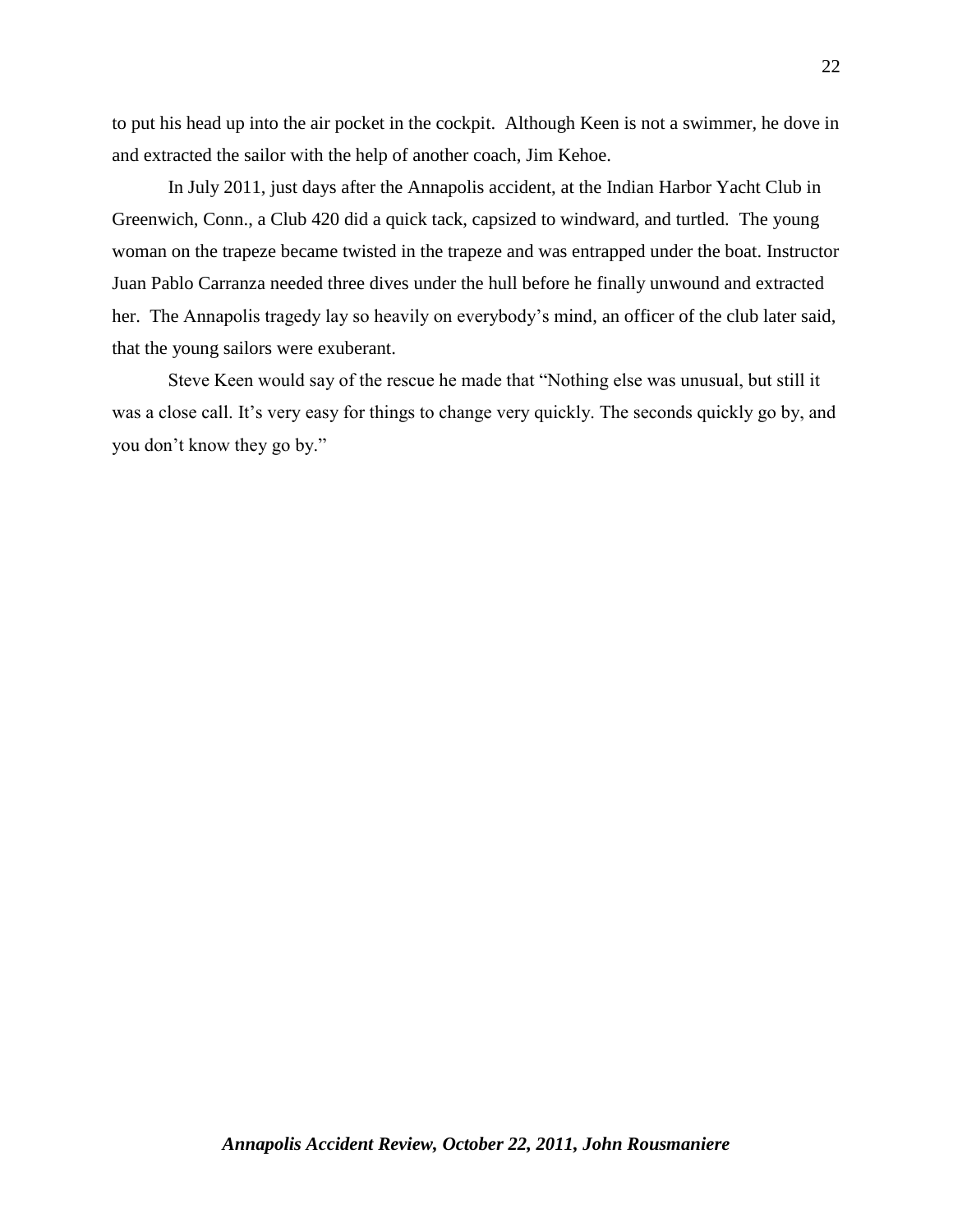to put his head up into the air pocket in the cockpit. Although Keen is not a swimmer, he dove in and extracted the sailor with the help of another coach, Jim Kehoe.

In July 2011, just days after the Annapolis accident, at the Indian Harbor Yacht Club in Greenwich, Conn., a Club 420 did a quick tack, capsized to windward, and turtled. The young woman on the trapeze became twisted in the trapeze and was entrapped under the boat. Instructor Juan Pablo Carranza needed three dives under the hull before he finally unwound and extracted her. The Annapolis tragedy lay so heavily on everybody's mind, an officer of the club later said, that the young sailors were exuberant.

Steve Keen would say of the rescue he made that "Nothing else was unusual, but still it was a close call. It's very easy for things to change very quickly. The seconds quickly go by, and you don't know they go by."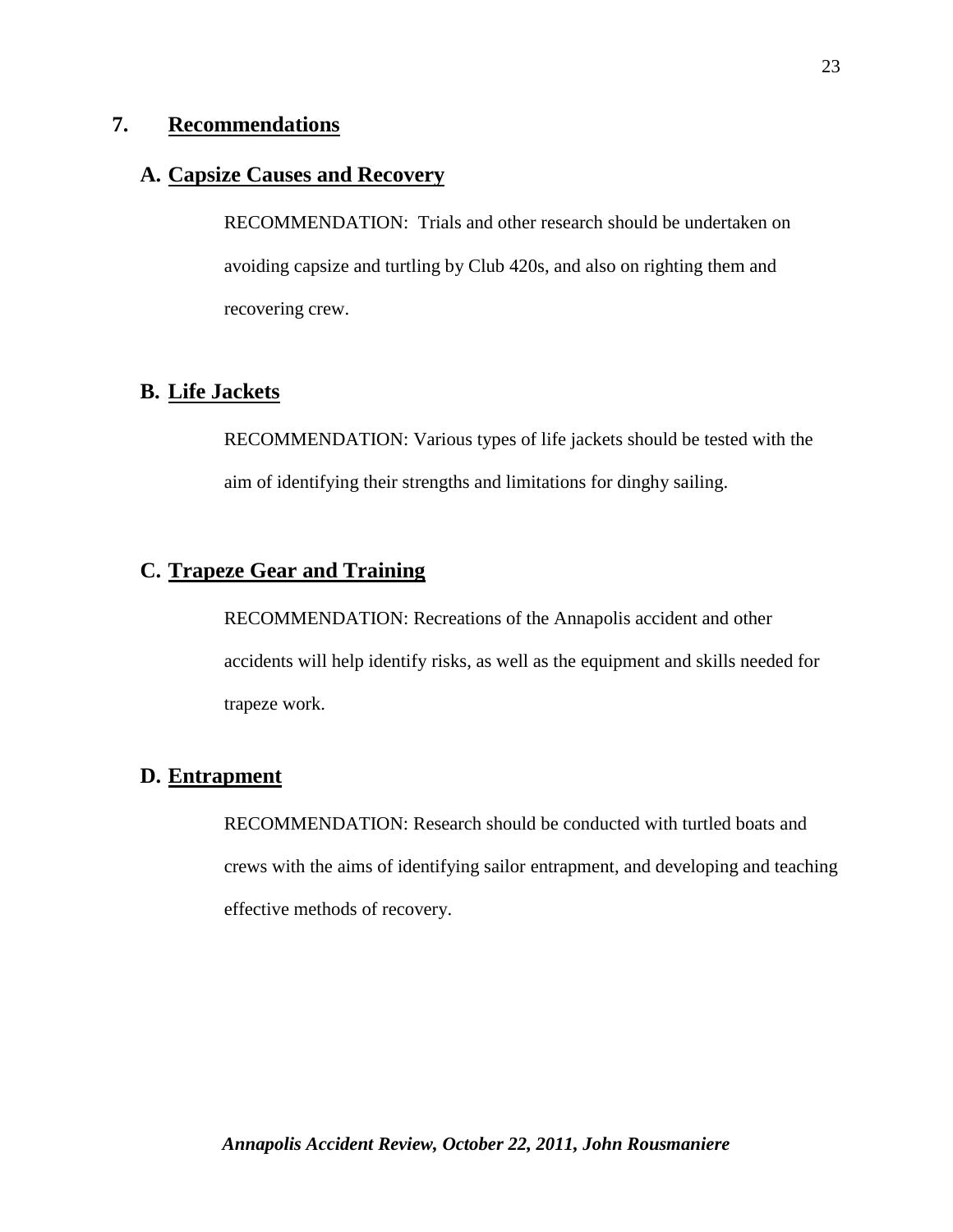## **7. Recommendations**

## **A. Capsize Causes and Recovery**

RECOMMENDATION: Trials and other research should be undertaken on avoiding capsize and turtling by Club 420s, and also on righting them and recovering crew.

## **B. Life Jackets**

RECOMMENDATION: Various types of life jackets should be tested with the aim of identifying their strengths and limitations for dinghy sailing.

# **C. Trapeze Gear and Training**

RECOMMENDATION: Recreations of the Annapolis accident and other accidents will help identify risks, as well as the equipment and skills needed for trapeze work.

# **D. Entrapment**

RECOMMENDATION: Research should be conducted with turtled boats and crews with the aims of identifying sailor entrapment, and developing and teaching effective methods of recovery.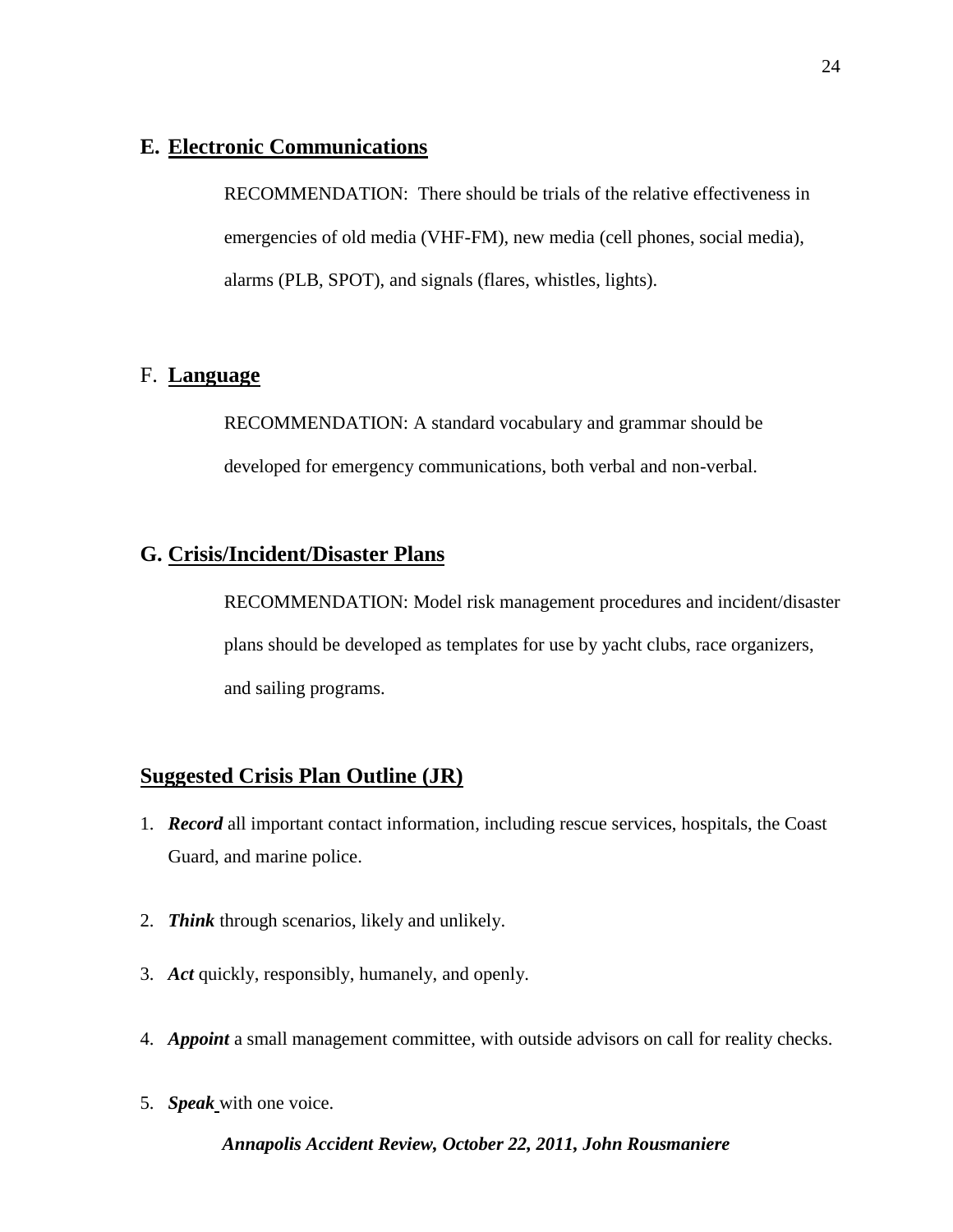## **E. Electronic Communications**

RECOMMENDATION: There should be trials of the relative effectiveness in emergencies of old media (VHF-FM), new media (cell phones, social media), alarms (PLB, SPOT), and signals (flares, whistles, lights).

## F. **Language**

RECOMMENDATION: A standard vocabulary and grammar should be developed for emergency communications, both verbal and non-verbal.

## **G. Crisis/Incident/Disaster Plans**

RECOMMENDATION: Model risk management procedures and incident/disaster plans should be developed as templates for use by yacht clubs, race organizers, and sailing programs.

## **Suggested Crisis Plan Outline (JR)**

- 1. *Record* all important contact information, including rescue services, hospitals, the Coast Guard, and marine police.
- 2. *Think* through scenarios, likely and unlikely.
- 3. *Act* quickly, responsibly, humanely, and openly.
- 4. *Appoint* a small management committee, with outside advisors on call for reality checks.
- 5. *Speak* with one voice.